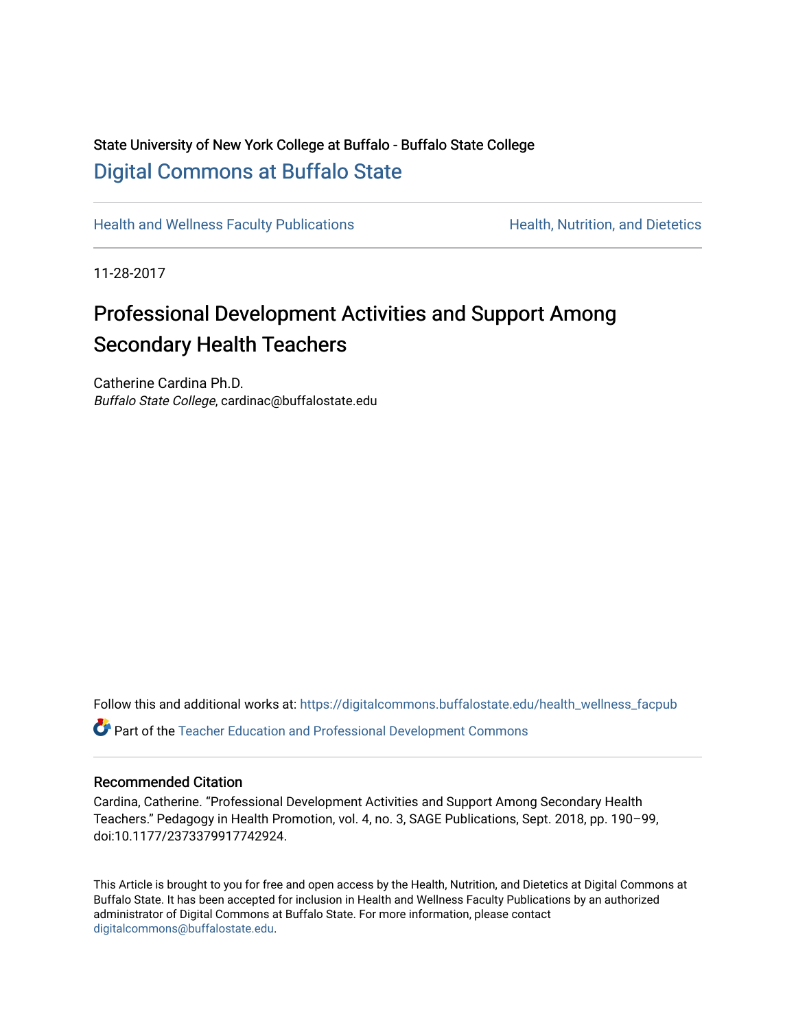# State University of New York College at Buffalo - Buffalo State College [Digital Commons at Buffalo State](https://digitalcommons.buffalostate.edu/)

[Health and Wellness Faculty Publications](https://digitalcommons.buffalostate.edu/health_wellness_facpub) **Health, Nutrition, and Dietetics** Health, Nutrition, and Dietetics

11-28-2017

# Professional Development Activities and Support Among Secondary Health Teachers

Catherine Cardina Ph.D. Buffalo State College, cardinac@buffalostate.edu

Follow this and additional works at: [https://digitalcommons.buffalostate.edu/health\\_wellness\\_facpub](https://digitalcommons.buffalostate.edu/health_wellness_facpub?utm_source=digitalcommons.buffalostate.edu%2Fhealth_wellness_facpub%2F2&utm_medium=PDF&utm_campaign=PDFCoverPages)

Part of the [Teacher Education and Professional Development Commons](http://network.bepress.com/hgg/discipline/803?utm_source=digitalcommons.buffalostate.edu%2Fhealth_wellness_facpub%2F2&utm_medium=PDF&utm_campaign=PDFCoverPages) 

#### Recommended Citation

Cardina, Catherine. "Professional Development Activities and Support Among Secondary Health Teachers." Pedagogy in Health Promotion, vol. 4, no. 3, SAGE Publications, Sept. 2018, pp. 190–99, doi:10.1177/2373379917742924.

This Article is brought to you for free and open access by the Health, Nutrition, and Dietetics at Digital Commons at Buffalo State. It has been accepted for inclusion in Health and Wellness Faculty Publications by an authorized administrator of Digital Commons at Buffalo State. For more information, please contact [digitalcommons@buffalostate.edu.](mailto:digitalcommons@buffalostate.edu)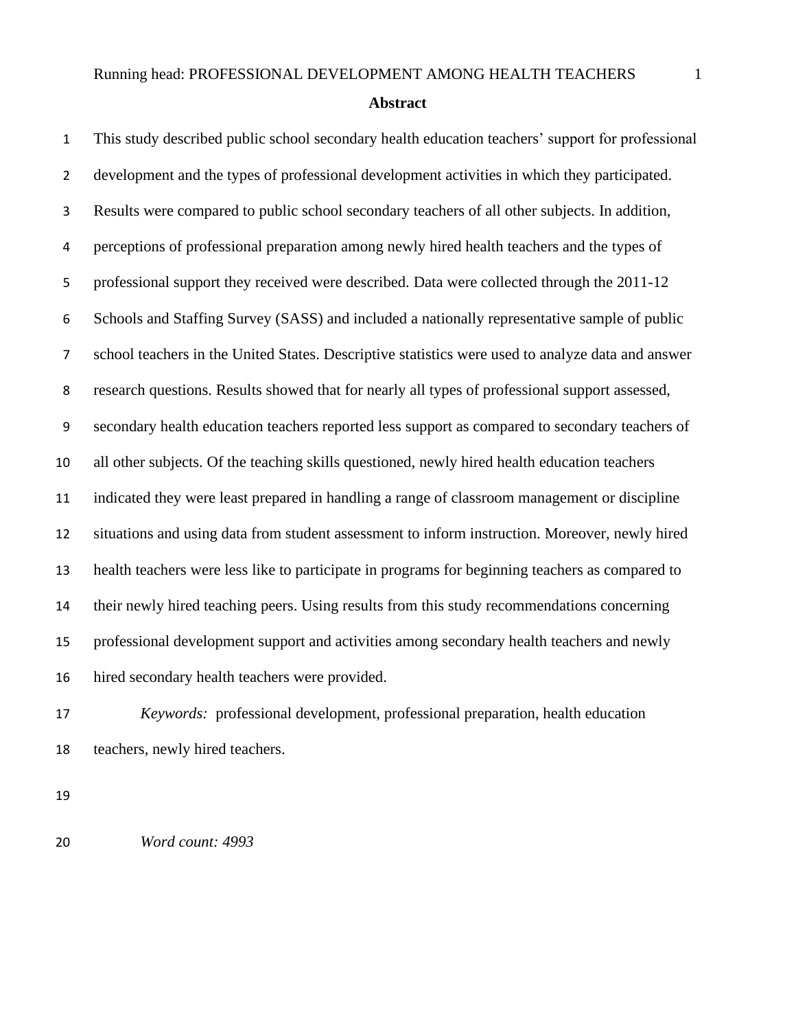# Running head: PROFESSIONAL DEVELOPMENT AMONG HEALTH TEACHERS 1 **Abstract**

 This study described public school secondary health education teachers' support for professional development and the types of professional development activities in which they participated. Results were compared to public school secondary teachers of all other subjects. In addition, perceptions of professional preparation among newly hired health teachers and the types of 5 professional support they received were described. Data were collected through the 2011-12 Schools and Staffing Survey (SASS) and included a nationally representative sample of public school teachers in the United States. Descriptive statistics were used to analyze data and answer research questions. Results showed that for nearly all types of professional support assessed, secondary health education teachers reported less support as compared to secondary teachers of all other subjects. Of the teaching skills questioned, newly hired health education teachers indicated they were least prepared in handling a range of classroom management or discipline situations and using data from student assessment to inform instruction. Moreover, newly hired health teachers were less like to participate in programs for beginning teachers as compared to their newly hired teaching peers. Using results from this study recommendations concerning professional development support and activities among secondary health teachers and newly hired secondary health teachers were provided.

 *Keywords:* professional development, professional preparation, health education teachers, newly hired teachers.

*Word count: 4993*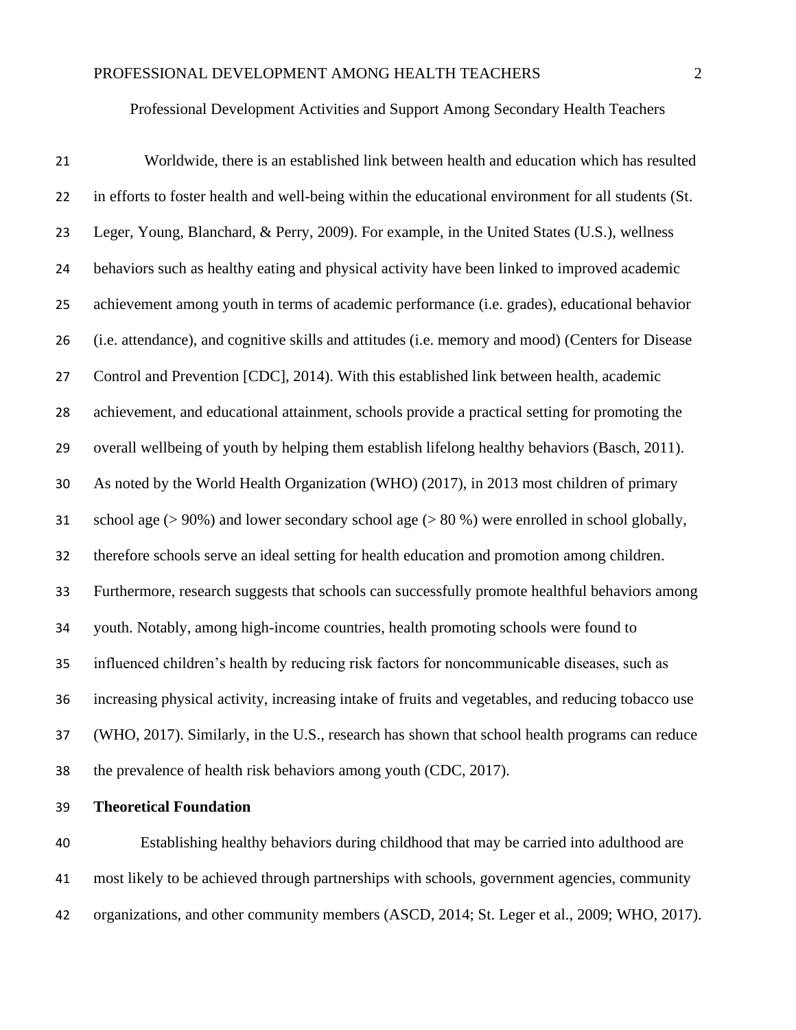#### Professional Development Activities and Support Among Secondary Health Teachers

 Worldwide, there is an established link between health and education which has resulted in efforts to foster health and well-being within the educational environment for all students (St. Leger, Young, Blanchard, & Perry, 2009). For example, in the United States (U.S.), wellness behaviors such as healthy eating and physical activity have been linked to improved academic achievement among youth in terms of academic performance (i.e. grades), educational behavior (i.e. attendance), and cognitive skills and attitudes (i.e. memory and mood) (Centers for Disease Control and Prevention [CDC], 2014). With this established link between health, academic achievement, and educational attainment, schools provide a practical setting for promoting the overall wellbeing of youth by helping them establish lifelong healthy behaviors (Basch, 2011). As noted by the World Health Organization (WHO) (2017), in 2013 most children of primary school age (> 90%) and lower secondary school age (> 80 %) were enrolled in school globally, therefore schools serve an ideal setting for health education and promotion among children. Furthermore, research suggests that schools can successfully promote healthful behaviors among youth. Notably, among high-income countries, health promoting schools were found to influenced children's health by reducing risk factors for noncommunicable diseases, such as increasing physical activity, increasing intake of fruits and vegetables, and reducing tobacco use (WHO, 2017). Similarly, in the U.S., research has shown that school health programs can reduce the prevalence of health risk behaviors among youth (CDC, 2017).

**Theoretical Foundation**

 Establishing healthy behaviors during childhood that may be carried into adulthood are most likely to be achieved through partnerships with schools, government agencies, community organizations, and other community members (ASCD, 2014; St. Leger et al., 2009; WHO, 2017).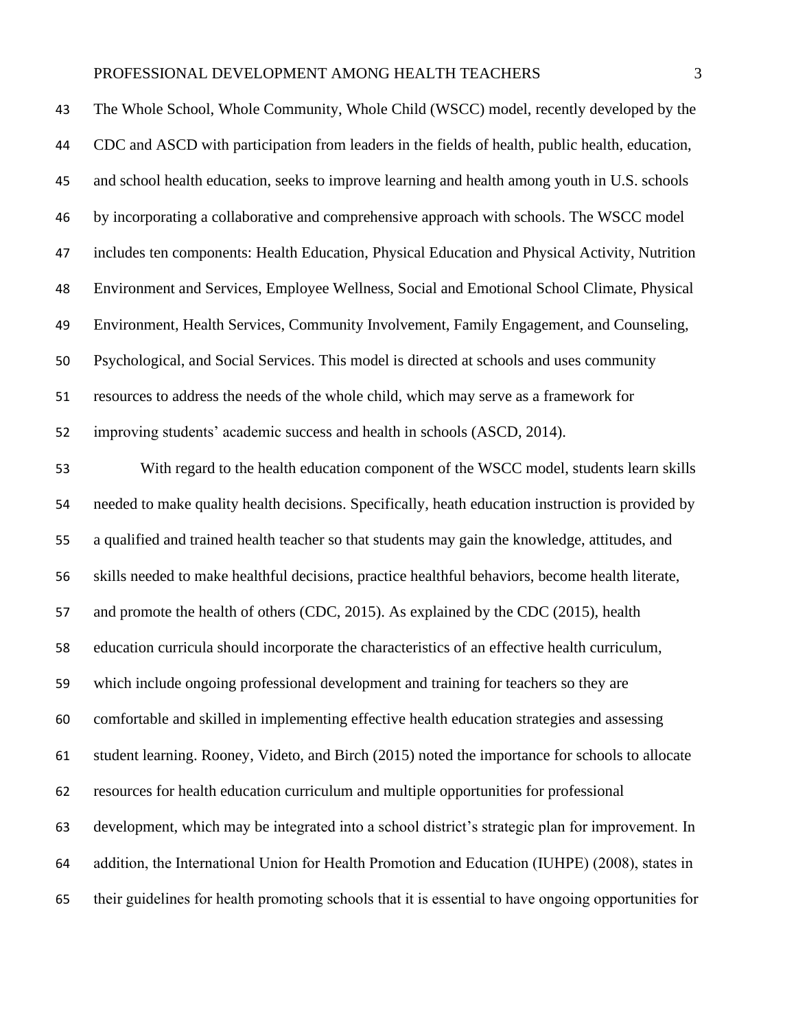The Whole School, Whole Community, Whole Child (WSCC) model, recently developed by the CDC and ASCD with participation from leaders in the fields of health, public health, education, and school health education, seeks to improve learning and health among youth in U.S. schools by incorporating a collaborative and comprehensive approach with schools. The WSCC model includes ten components: Health Education, Physical Education and Physical Activity, Nutrition Environment and Services, Employee Wellness, Social and Emotional School Climate, Physical Environment, Health Services, Community Involvement, Family Engagement, and Counseling, Psychological, and Social Services. This model is directed at schools and uses community resources to address the needs of the whole child, which may serve as a framework for improving students' academic success and health in schools (ASCD, 2014).

 With regard to the health education component of the WSCC model, students learn skills needed to make quality health decisions. Specifically, heath education instruction is provided by a qualified and trained health teacher so that students may gain the knowledge, attitudes, and skills needed to make healthful decisions, practice healthful behaviors, become health literate, 57 and promote the health of others (CDC, 2015). As explained by the CDC (2015), health education curricula should incorporate the characteristics of an effective health curriculum, which include ongoing professional development and training for teachers so they are comfortable and skilled in implementing effective health education strategies and assessing student learning. Rooney, Videto, and Birch (2015) noted the importance for schools to allocate resources for health education curriculum and multiple opportunities for professional development, which may be integrated into a school district's strategic plan for improvement. In addition, the International Union for Health Promotion and Education (IUHPE) (2008), states in their guidelines for health promoting schools that it is essential to have ongoing opportunities for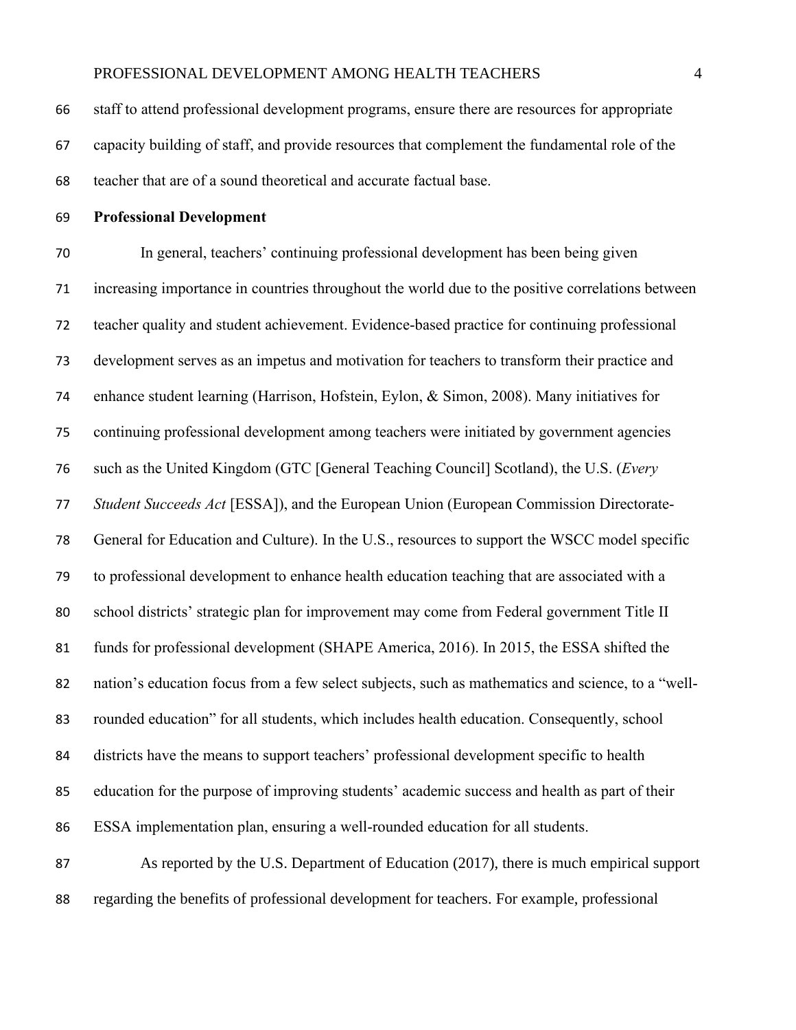staff to attend professional development programs, ensure there are resources for appropriate capacity building of staff, and provide resources that complement the fundamental role of the teacher that are of a sound theoretical and accurate factual base.

**Professional Development**

 In general, teachers' continuing professional development has been being given increasing importance in countries throughout the world due to the positive correlations between teacher quality and student achievement. Evidence-based practice for continuing professional development serves as an impetus and motivation for teachers to transform their practice and enhance student learning (Harrison, Hofstein, Eylon, & Simon, 2008). Many initiatives for continuing professional development among teachers were initiated by government agencies such as the United Kingdom (GTC [General Teaching Council] Scotland), the U.S. (*Every Student Succeeds Act* [ESSA]), and the European Union (European Commission Directorate- General for Education and Culture). In the U.S., resources to support the WSCC model specific to professional development to enhance health education teaching that are associated with a school districts' strategic plan for improvement may come from Federal government Title II funds for professional development (SHAPE America, 2016). In 2015, the ESSA shifted the nation's education focus from a few select subjects, such as mathematics and science, to a "well- rounded education" for all students, which includes health education. Consequently, school districts have the means to support teachers' professional development specific to health education for the purpose of improving students' academic success and health as part of their ESSA implementation plan, ensuring a well-rounded education for all students. As reported by the U.S. Department of Education (2017), there is much empirical support

regarding the benefits of professional development for teachers. For example, professional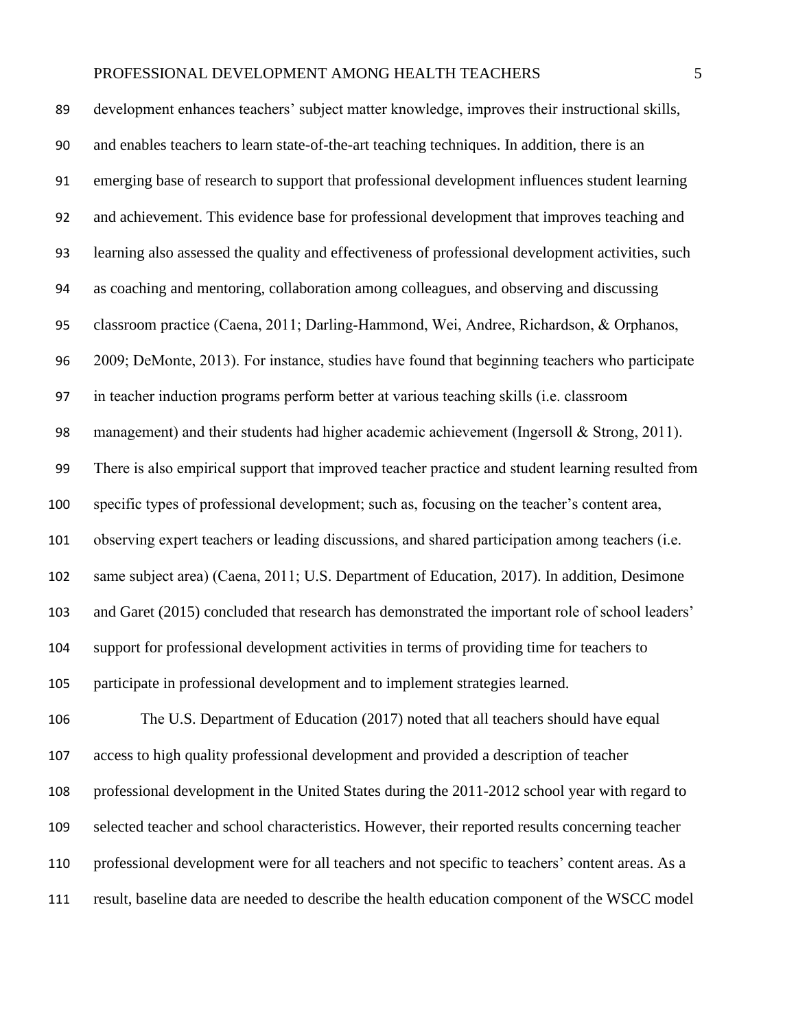development enhances teachers' subject matter knowledge, improves their instructional skills, and enables teachers to learn state-of-the-art teaching techniques. In addition, there is an emerging base of research to support that professional development influences student learning and achievement. This evidence base for professional development that improves teaching and learning also assessed the quality and effectiveness of professional development activities, such as coaching and mentoring, collaboration among colleagues, and observing and discussing classroom practice (Caena, 2011; Darling-Hammond, Wei, Andree, Richardson, & Orphanos, 2009; DeMonte, 2013). For instance, studies have found that beginning teachers who participate in teacher induction programs perform better at various teaching skills (i.e. classroom management) and their students had higher academic achievement (Ingersoll & Strong, 2011). There is also empirical support that improved teacher practice and student learning resulted from specific types of professional development; such as, focusing on the teacher's content area, observing expert teachers or leading discussions, and shared participation among teachers (i.e. same subject area) (Caena, 2011; U.S. Department of Education, 2017). In addition, Desimone and Garet (2015) concluded that research has demonstrated the important role of school leaders' support for professional development activities in terms of providing time for teachers to participate in professional development and to implement strategies learned. The U.S. Department of Education (2017) noted that all teachers should have equal access to high quality professional development and provided a description of teacher professional development in the United States during the 2011-2012 school year with regard to selected teacher and school characteristics. However, their reported results concerning teacher

- professional development were for all teachers and not specific to teachers' content areas. As a
- result, baseline data are needed to describe the health education component of the WSCC model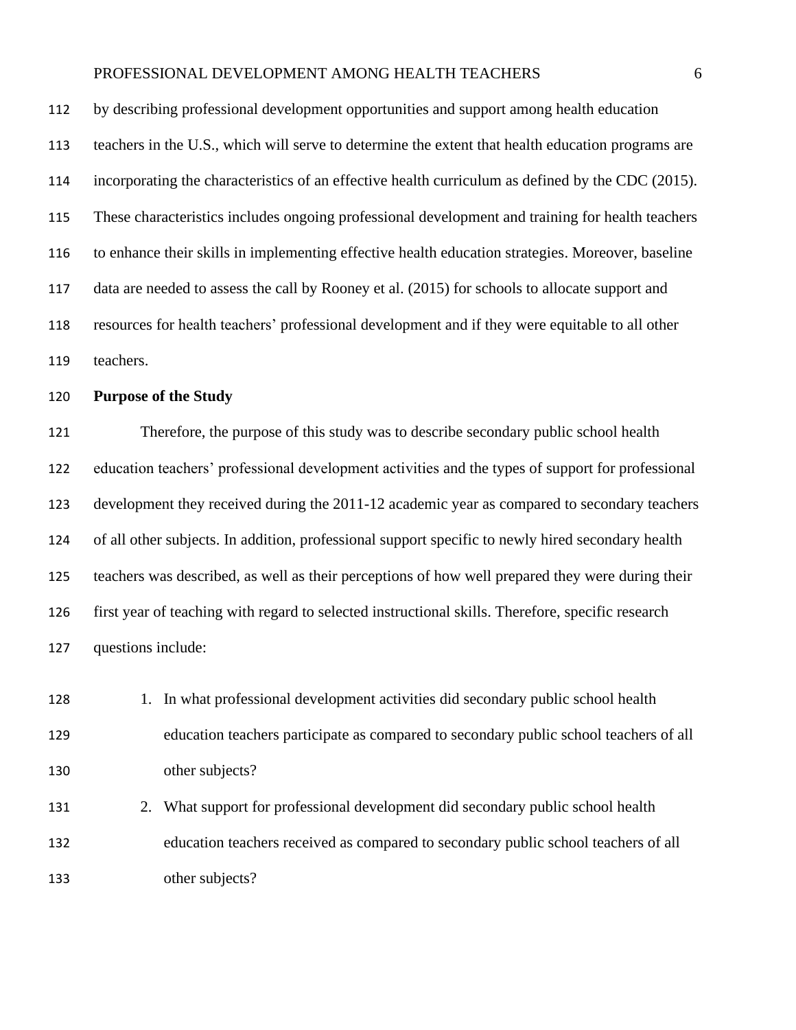| 112 | by describing professional development opportunities and support among health education           |
|-----|---------------------------------------------------------------------------------------------------|
| 113 | teachers in the U.S., which will serve to determine the extent that health education programs are |
| 114 | incorporating the characteristics of an effective health curriculum as defined by the CDC (2015). |
| 115 | These characteristics includes ongoing professional development and training for health teachers  |
| 116 | to enhance their skills in implementing effective health education strategies. Moreover, baseline |
| 117 | data are needed to assess the call by Rooney et al. (2015) for schools to allocate support and    |
| 118 | resources for health teachers' professional development and if they were equitable to all other   |
| 119 | teachers.                                                                                         |
|     |                                                                                                   |
| 120 | <b>Purpose of the Study</b>                                                                       |
| 121 | Therefore, the purpose of this study was to describe secondary public school health               |
| 122 | education teachers' professional development activities and the types of support for professional |
| 123 | development they received during the 2011-12 academic year as compared to secondary teachers      |
| 124 | of all other subjects. In addition, professional support specific to newly hired secondary health |
| 125 | teachers was described, as well as their perceptions of how well prepared they were during their  |
| 126 | first year of teaching with regard to selected instructional skills. Therefore, specific research |

 1. In what professional development activities did secondary public school health education teachers participate as compared to secondary public school teachers of all other subjects?

 2. What support for professional development did secondary public school health education teachers received as compared to secondary public school teachers of all other subjects?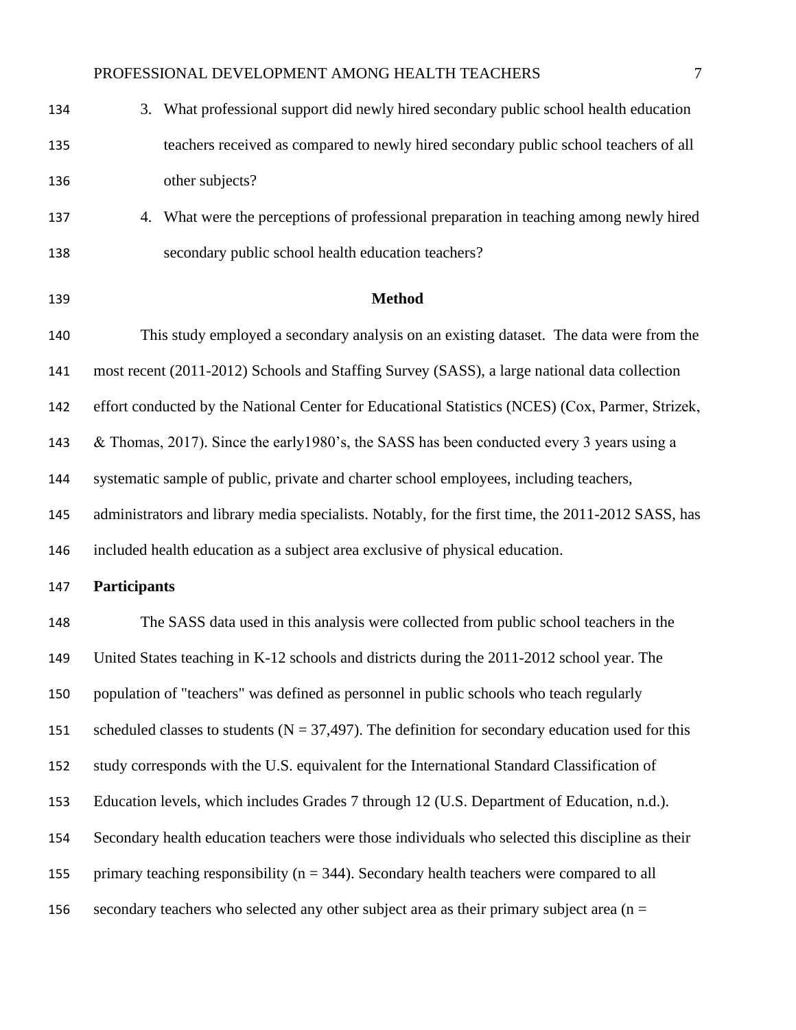# PROFESSIONAL DEVELOPMENT AMONG HEALTH TEACHERS  $\overline{7}$

| 134 | 3. What professional support did newly hired secondary public school health education                |
|-----|------------------------------------------------------------------------------------------------------|
| 135 | teachers received as compared to newly hired secondary public school teachers of all                 |
| 136 | other subjects?                                                                                      |
| 137 | 4. What were the perceptions of professional preparation in teaching among newly hired               |
| 138 | secondary public school health education teachers?                                                   |
| 139 | <b>Method</b>                                                                                        |
| 140 | This study employed a secondary analysis on an existing dataset. The data were from the              |
| 141 | most recent (2011-2012) Schools and Staffing Survey (SASS), a large national data collection         |
| 142 | effort conducted by the National Center for Educational Statistics (NCES) (Cox, Parmer, Strizek,     |
| 143 | & Thomas, 2017). Since the early 1980's, the SASS has been conducted every 3 years using a           |
| 144 | systematic sample of public, private and charter school employees, including teachers,               |
| 145 | administrators and library media specialists. Notably, for the first time, the 2011-2012 SASS, has   |
| 146 | included health education as a subject area exclusive of physical education.                         |
| 147 | <b>Participants</b>                                                                                  |
| 148 | The SASS data used in this analysis were collected from public school teachers in the                |
| 149 | United States teaching in K-12 schools and districts during the 2011-2012 school year. The           |
| 150 | population of "teachers" was defined as personnel in public schools who teach regularly              |
| 151 | scheduled classes to students ( $N = 37,497$ ). The definition for secondary education used for this |
| 152 | study corresponds with the U.S. equivalent for the International Standard Classification of          |
| 153 | Education levels, which includes Grades 7 through 12 (U.S. Department of Education, n.d.).           |
| 154 | Secondary health education teachers were those individuals who selected this discipline as their     |
| 155 | primary teaching responsibility ( $n = 344$ ). Secondary health teachers were compared to all        |
| 156 | secondary teachers who selected any other subject area as their primary subject area ( $n =$         |
|     |                                                                                                      |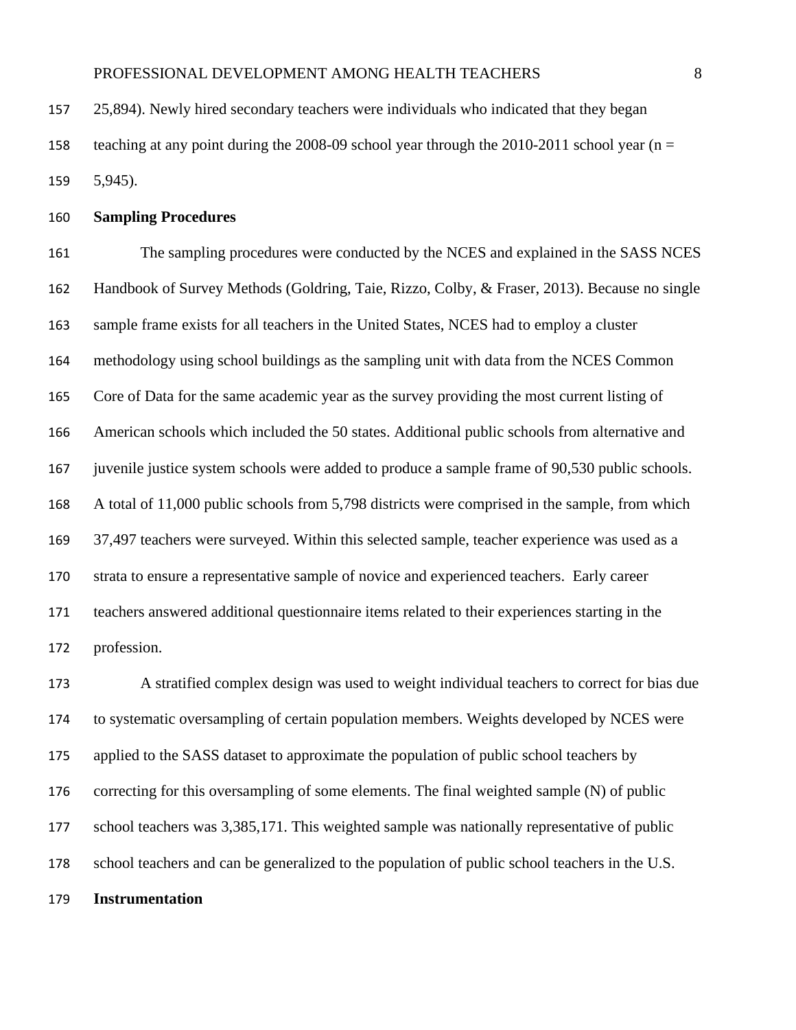25,894). Newly hired secondary teachers were individuals who indicated that they began

 teaching at any point during the 2008-09 school year through the 2010-2011 school year (n = 5,945).

#### **Sampling Procedures**

 The sampling procedures were conducted by the NCES and explained in the SASS NCES Handbook of Survey Methods (Goldring, Taie, Rizzo, Colby, & Fraser, 2013). Because no single sample frame exists for all teachers in the United States, NCES had to employ a cluster methodology using school buildings as the sampling unit with data from the NCES Common Core of Data for the same academic year as the survey providing the most current listing of American schools which included the 50 states. Additional public schools from alternative and 167 juvenile justice system schools were added to produce a sample frame of 90,530 public schools. A total of 11,000 public schools from 5,798 districts were comprised in the sample, from which 37,497 teachers were surveyed. Within this selected sample, teacher experience was used as a strata to ensure a representative sample of novice and experienced teachers. Early career teachers answered additional questionnaire items related to their experiences starting in the profession.

 A stratified complex design was used to weight individual teachers to correct for bias due to systematic oversampling of certain population members. Weights developed by NCES were applied to the SASS dataset to approximate the population of public school teachers by correcting for this oversampling of some elements. The final weighted sample (N) of public school teachers was 3,385,171. This weighted sample was nationally representative of public school teachers and can be generalized to the population of public school teachers in the U.S. **Instrumentation**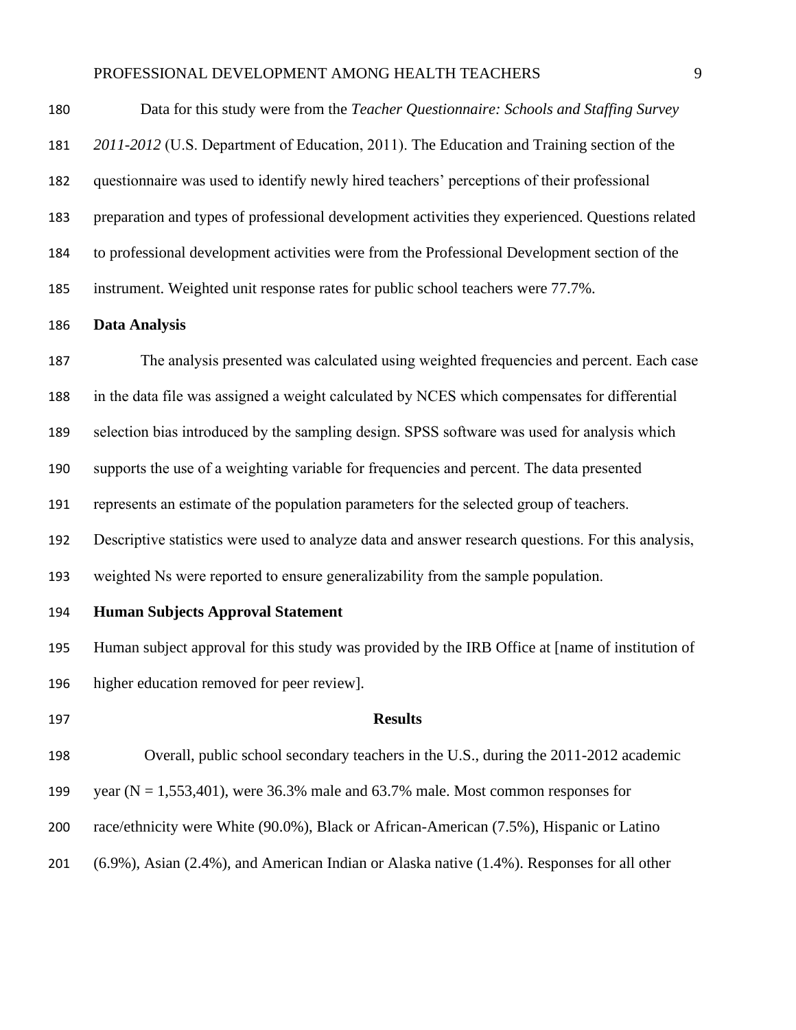| 186 | Data Analysis                                                                                    |
|-----|--------------------------------------------------------------------------------------------------|
| 185 | instrument. Weighted unit response rates for public school teachers were 77.7%.                  |
| 184 | to professional development activities were from the Professional Development section of the     |
| 183 | preparation and types of professional development activities they experienced. Questions related |
| 182 | questionnaire was used to identify newly hired teachers' perceptions of their professional       |
| 181 | 2011-2012 (U.S. Department of Education, 2011). The Education and Training section of the        |
| 180 | Data for this study were from the Teacher Questionnaire: Schools and Staffing Survey             |

 The analysis presented was calculated using weighted frequencies and percent. Each case in the data file was assigned a weight calculated by NCES which compensates for differential selection bias introduced by the sampling design. SPSS software was used for analysis which supports the use of a weighting variable for frequencies and percent. The data presented represents an estimate of the population parameters for the selected group of teachers. Descriptive statistics were used to analyze data and answer research questions. For this analysis, weighted Ns were reported to ensure generalizability from the sample population. **Human Subjects Approval Statement** Human subject approval for this study was provided by the IRB Office at [name of institution of higher education removed for peer review]. **Results** Overall, public school secondary teachers in the U.S., during the 2011-2012 academic 199 year ( $N = 1,553,401$ ), were 36.3% male and 63.7% male. Most common responses for race/ethnicity were White (90.0%), Black or African-American (7.5%), Hispanic or Latino (6.9%), Asian (2.4%), and American Indian or Alaska native (1.4%). Responses for all other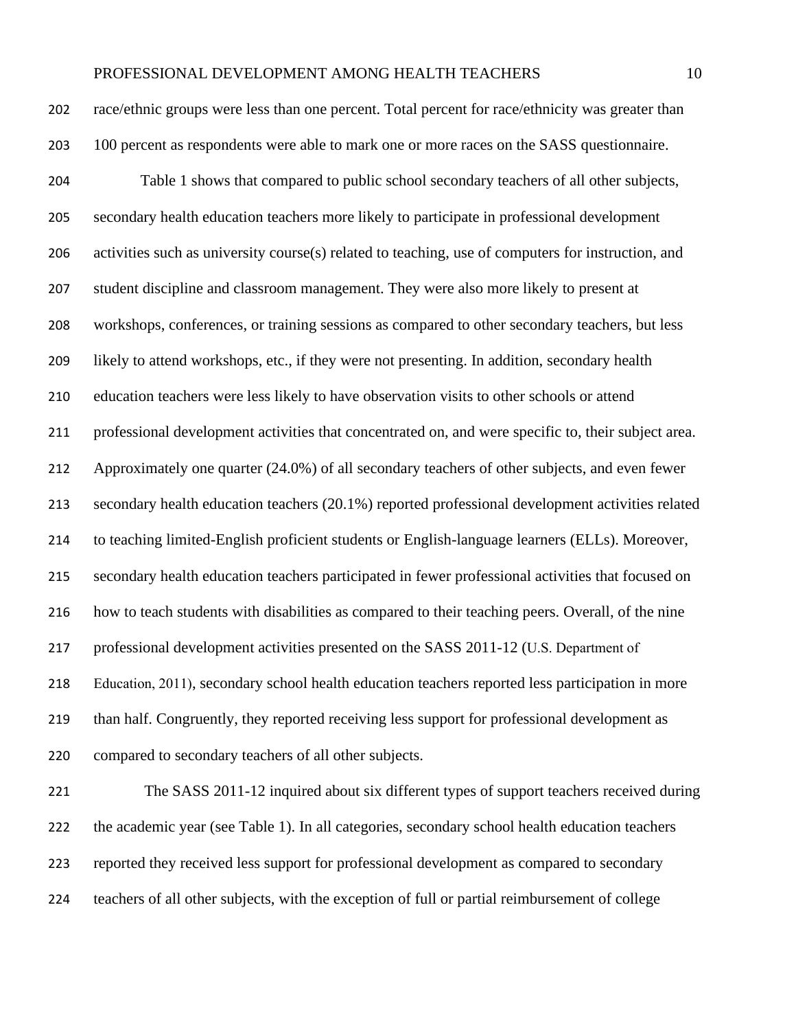race/ethnic groups were less than one percent. Total percent for race/ethnicity was greater than 100 percent as respondents were able to mark one or more races on the SASS questionnaire.

 Table 1 shows that compared to public school secondary teachers of all other subjects, secondary health education teachers more likely to participate in professional development activities such as university course(s) related to teaching, use of computers for instruction, and student discipline and classroom management. They were also more likely to present at workshops, conferences, or training sessions as compared to other secondary teachers, but less likely to attend workshops, etc., if they were not presenting. In addition, secondary health education teachers were less likely to have observation visits to other schools or attend professional development activities that concentrated on, and were specific to, their subject area. Approximately one quarter (24.0%) of all secondary teachers of other subjects, and even fewer secondary health education teachers (20.1%) reported professional development activities related to teaching limited-English proficient students or English-language learners (ELLs). Moreover, secondary health education teachers participated in fewer professional activities that focused on how to teach students with disabilities as compared to their teaching peers. Overall, of the nine professional development activities presented on the SASS 2011-12 (U.S. Department of Education, 2011), secondary school health education teachers reported less participation in more than half. Congruently, they reported receiving less support for professional development as compared to secondary teachers of all other subjects.

 The SASS 2011-12 inquired about six different types of support teachers received during the academic year (see Table 1). In all categories, secondary school health education teachers reported they received less support for professional development as compared to secondary teachers of all other subjects, with the exception of full or partial reimbursement of college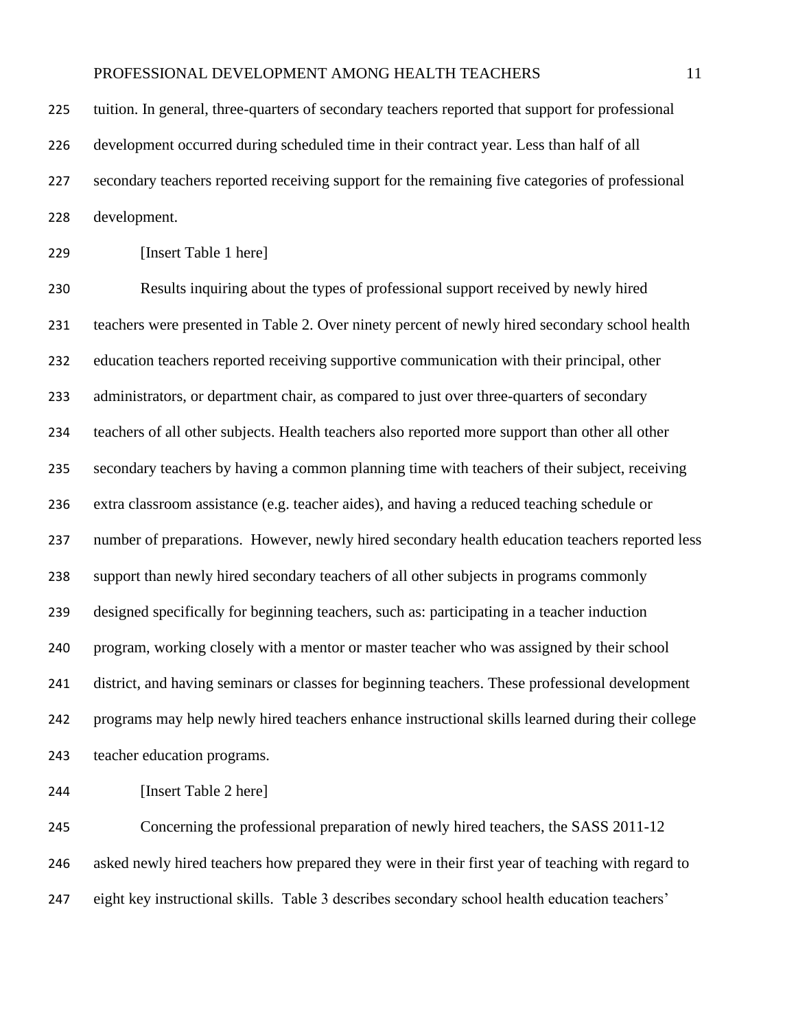tuition. In general, three-quarters of secondary teachers reported that support for professional development occurred during scheduled time in their contract year. Less than half of all secondary teachers reported receiving support for the remaining five categories of professional development.

[Insert Table 1 here]

 Results inquiring about the types of professional support received by newly hired teachers were presented in Table 2. Over ninety percent of newly hired secondary school health education teachers reported receiving supportive communication with their principal, other 233 administrators, or department chair, as compared to just over three-quarters of secondary teachers of all other subjects. Health teachers also reported more support than other all other secondary teachers by having a common planning time with teachers of their subject, receiving extra classroom assistance (e.g. teacher aides), and having a reduced teaching schedule or number of preparations. However, newly hired secondary health education teachers reported less support than newly hired secondary teachers of all other subjects in programs commonly designed specifically for beginning teachers, such as: participating in a teacher induction program, working closely with a mentor or master teacher who was assigned by their school district, and having seminars or classes for beginning teachers. These professional development programs may help newly hired teachers enhance instructional skills learned during their college teacher education programs.

[Insert Table 2 here]

 Concerning the professional preparation of newly hired teachers, the SASS 2011-12 asked newly hired teachers how prepared they were in their first year of teaching with regard to eight key instructional skills. Table 3 describes secondary school health education teachers'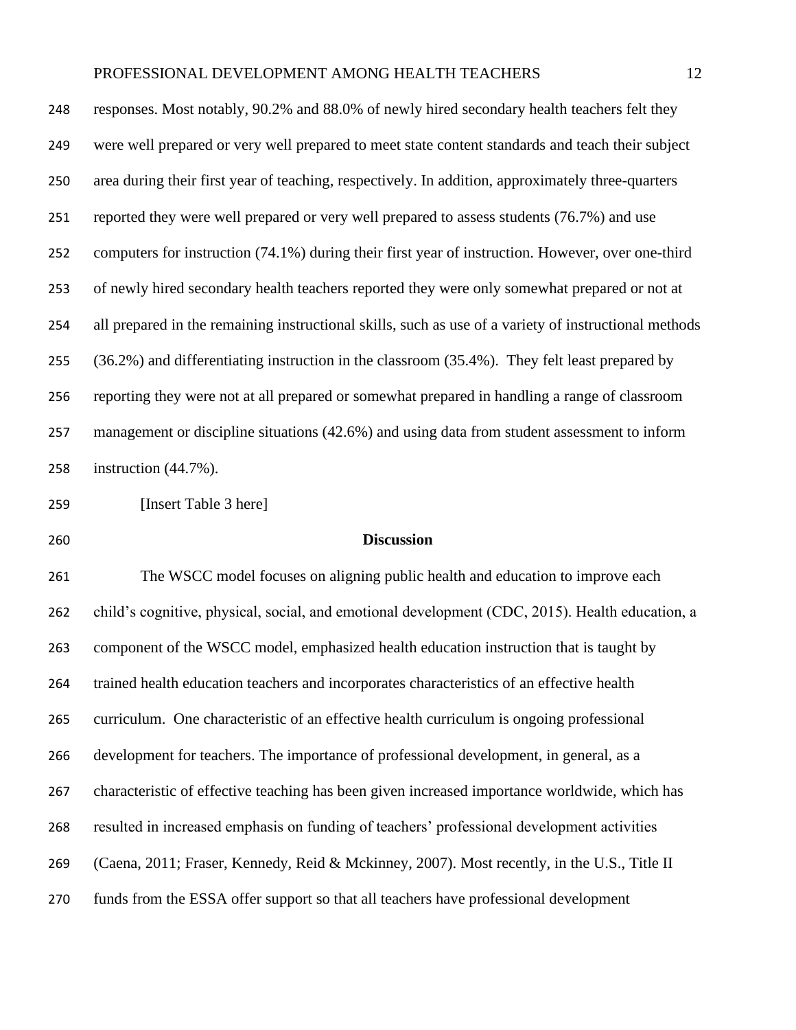| 248 | responses. Most notably, 90.2% and 88.0% of newly hired secondary health teachers felt they           |
|-----|-------------------------------------------------------------------------------------------------------|
| 249 | were well prepared or very well prepared to meet state content standards and teach their subject      |
| 250 | area during their first year of teaching, respectively. In addition, approximately three-quarters     |
| 251 | reported they were well prepared or very well prepared to assess students (76.7%) and use             |
| 252 | computers for instruction (74.1%) during their first year of instruction. However, over one-third     |
| 253 | of newly hired secondary health teachers reported they were only somewhat prepared or not at          |
| 254 | all prepared in the remaining instructional skills, such as use of a variety of instructional methods |
| 255 | (36.2%) and differentiating instruction in the classroom (35.4%). They felt least prepared by         |
| 256 | reporting they were not at all prepared or somewhat prepared in handling a range of classroom         |
| 257 | management or discipline situations (42.6%) and using data from student assessment to inform          |
| 258 | instruction $(44.7\%)$ .                                                                              |

[Insert Table 3 here]

#### **Discussion**

 The WSCC model focuses on aligning public health and education to improve each child's cognitive, physical, social, and emotional development (CDC, 2015). Health education, a component of the WSCC model, emphasized health education instruction that is taught by trained health education teachers and incorporates characteristics of an effective health curriculum. One characteristic of an effective health curriculum is ongoing professional development for teachers. The importance of professional development, in general, as a characteristic of effective teaching has been given increased importance worldwide, which has resulted in increased emphasis on funding of teachers' professional development activities (Caena, 2011; Fraser, Kennedy, Reid & Mckinney, 2007). Most recently, in the U.S., Title II funds from the ESSA offer support so that all teachers have professional development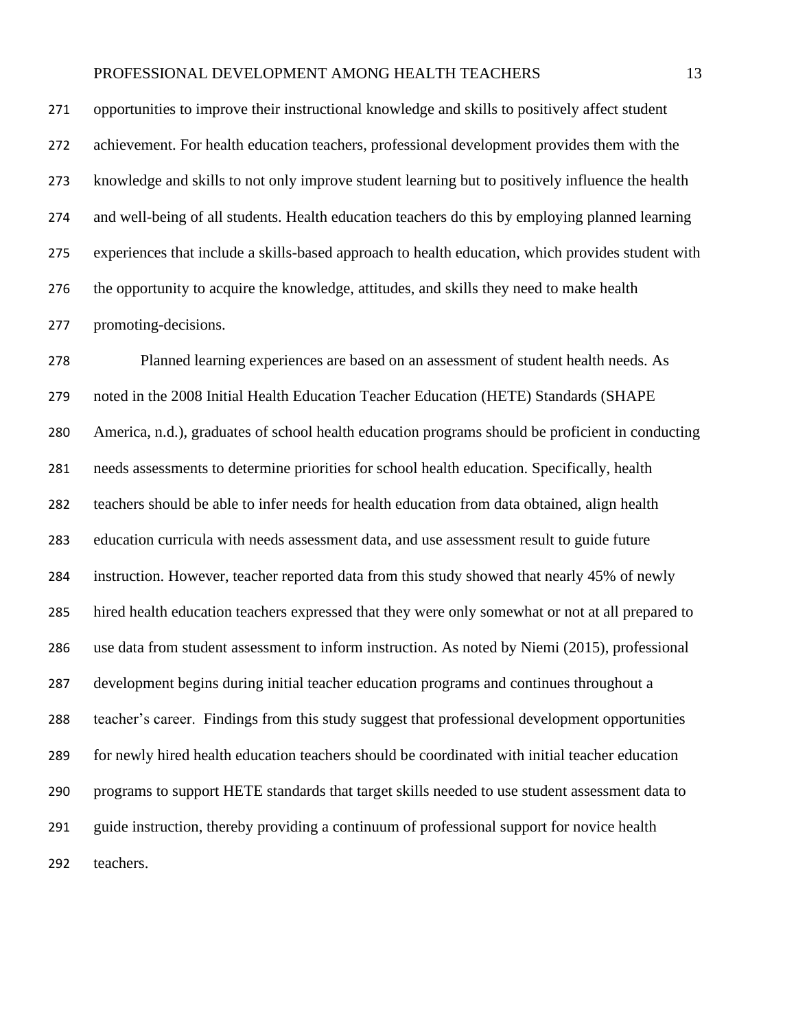opportunities to improve their instructional knowledge and skills to positively affect student achievement. For health education teachers, professional development provides them with the knowledge and skills to not only improve student learning but to positively influence the health and well-being of all students. Health education teachers do this by employing planned learning experiences that include a skills-based approach to health education, which provides student with the opportunity to acquire the knowledge, attitudes, and skills they need to make health promoting-decisions.

 Planned learning experiences are based on an assessment of student health needs. As noted in the 2008 Initial Health Education Teacher Education (HETE) Standards (SHAPE America, n.d.), graduates of school health education programs should be proficient in conducting needs assessments to determine priorities for school health education. Specifically, health teachers should be able to infer needs for health education from data obtained, align health education curricula with needs assessment data, and use assessment result to guide future instruction. However, teacher reported data from this study showed that nearly 45% of newly hired health education teachers expressed that they were only somewhat or not at all prepared to use data from student assessment to inform instruction. As noted by Niemi (2015), professional development begins during initial teacher education programs and continues throughout a teacher's career. Findings from this study suggest that professional development opportunities for newly hired health education teachers should be coordinated with initial teacher education programs to support HETE standards that target skills needed to use student assessment data to guide instruction, thereby providing a continuum of professional support for novice health teachers.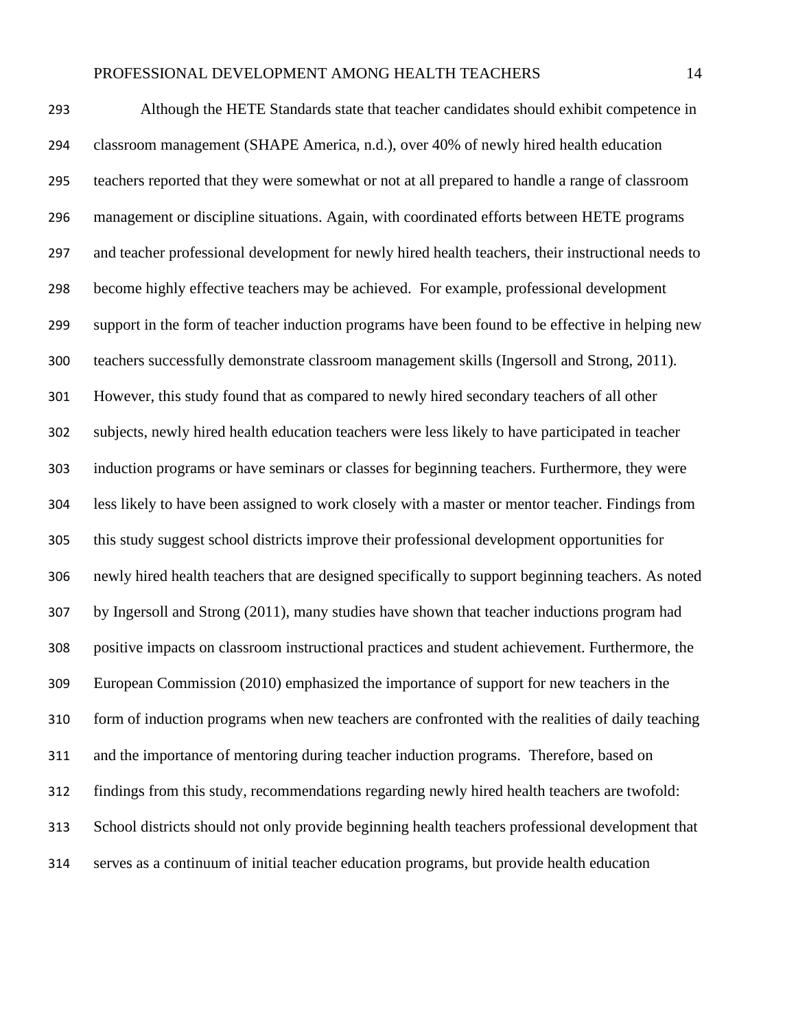Although the HETE Standards state that teacher candidates should exhibit competence in classroom management (SHAPE America, n.d.), over 40% of newly hired health education teachers reported that they were somewhat or not at all prepared to handle a range of classroom management or discipline situations. Again, with coordinated efforts between HETE programs and teacher professional development for newly hired health teachers, their instructional needs to become highly effective teachers may be achieved. For example, professional development support in the form of teacher induction programs have been found to be effective in helping new teachers successfully demonstrate classroom management skills (Ingersoll and Strong, 2011). However, this study found that as compared to newly hired secondary teachers of all other subjects, newly hired health education teachers were less likely to have participated in teacher induction programs or have seminars or classes for beginning teachers. Furthermore, they were less likely to have been assigned to work closely with a master or mentor teacher. Findings from this study suggest school districts improve their professional development opportunities for newly hired health teachers that are designed specifically to support beginning teachers. As noted by Ingersoll and Strong (2011), many studies have shown that teacher inductions program had positive impacts on classroom instructional practices and student achievement. Furthermore, the European Commission (2010) emphasized the importance of support for new teachers in the form of induction programs when new teachers are confronted with the realities of daily teaching and the importance of mentoring during teacher induction programs. Therefore, based on findings from this study, recommendations regarding newly hired health teachers are twofold: School districts should not only provide beginning health teachers professional development that serves as a continuum of initial teacher education programs, but provide health education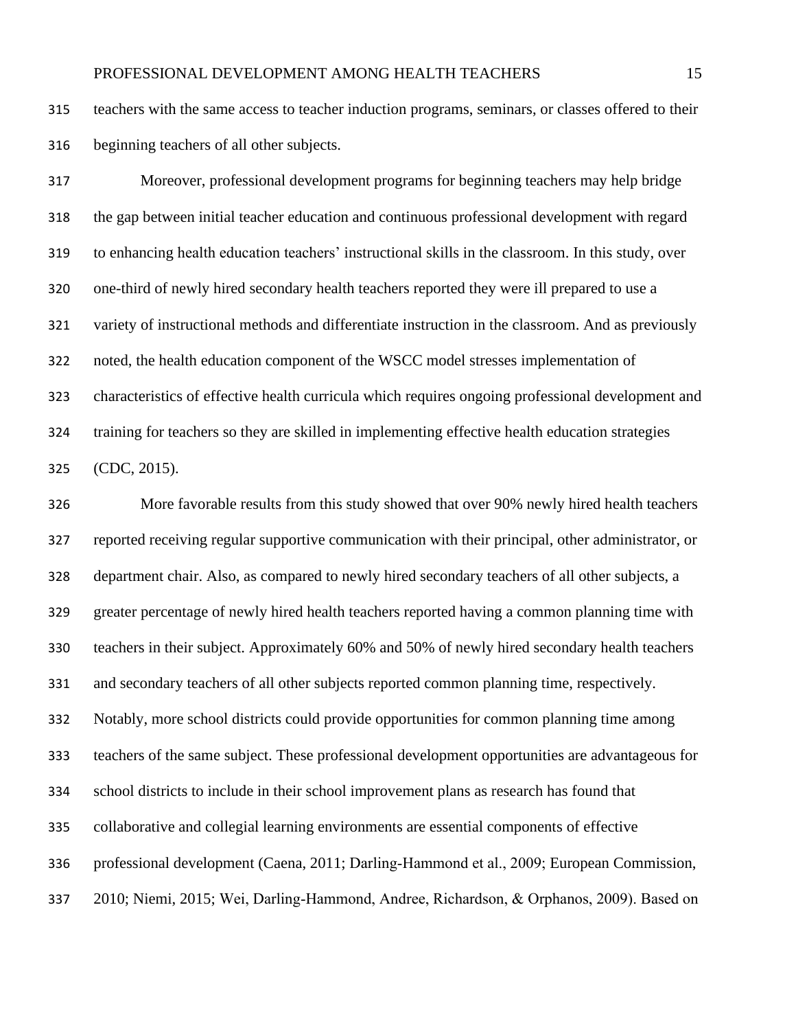teachers with the same access to teacher induction programs, seminars, or classes offered to their beginning teachers of all other subjects.

 Moreover, professional development programs for beginning teachers may help bridge the gap between initial teacher education and continuous professional development with regard to enhancing health education teachers' instructional skills in the classroom. In this study, over one-third of newly hired secondary health teachers reported they were ill prepared to use a variety of instructional methods and differentiate instruction in the classroom. And as previously noted, the health education component of the WSCC model stresses implementation of characteristics of effective health curricula which requires ongoing professional development and training for teachers so they are skilled in implementing effective health education strategies (CDC, 2015).

 More favorable results from this study showed that over 90% newly hired health teachers reported receiving regular supportive communication with their principal, other administrator, or department chair. Also, as compared to newly hired secondary teachers of all other subjects, a greater percentage of newly hired health teachers reported having a common planning time with teachers in their subject. Approximately 60% and 50% of newly hired secondary health teachers and secondary teachers of all other subjects reported common planning time, respectively. Notably, more school districts could provide opportunities for common planning time among teachers of the same subject. These professional development opportunities are advantageous for school districts to include in their school improvement plans as research has found that collaborative and collegial learning environments are essential components of effective professional development (Caena, 2011; Darling-Hammond et al., 2009; European Commission, 2010; Niemi, 2015; Wei, Darling-Hammond, Andree, Richardson, & Orphanos, 2009). Based on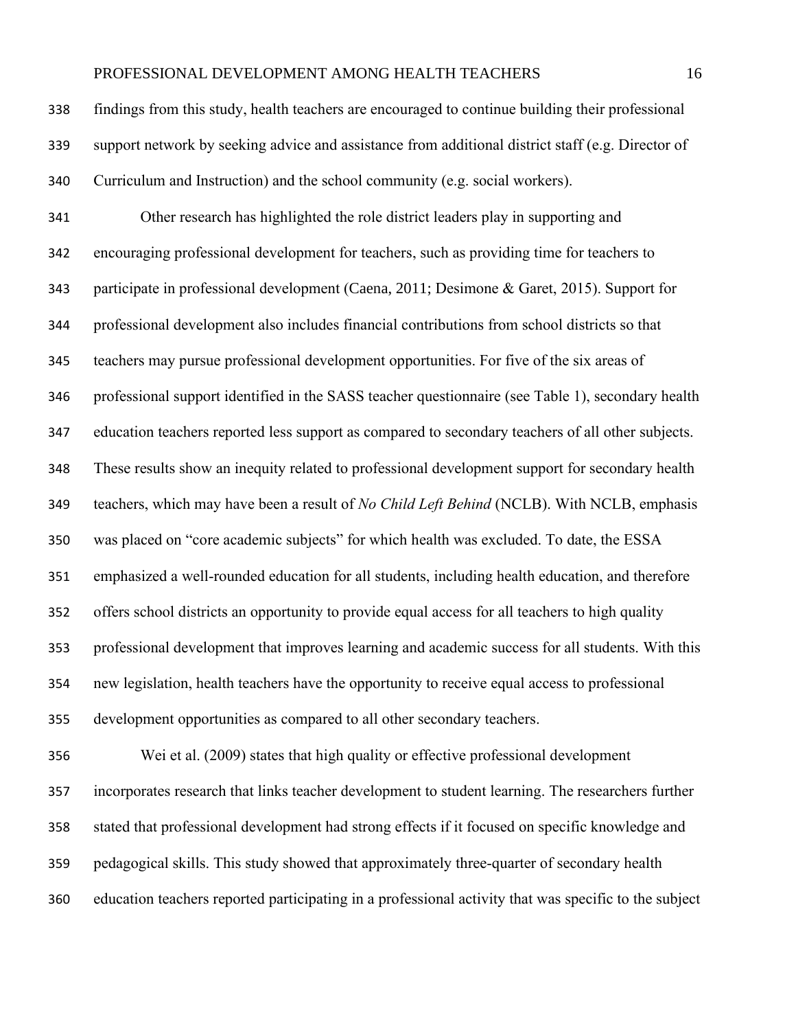findings from this study, health teachers are encouraged to continue building their professional support network by seeking advice and assistance from additional district staff (e.g. Director of Curriculum and Instruction) and the school community (e.g. social workers). Other research has highlighted the role district leaders play in supporting and encouraging professional development for teachers, such as providing time for teachers to participate in professional development (Caena, 2011; Desimone & Garet, 2015). Support for professional development also includes financial contributions from school districts so that teachers may pursue professional development opportunities. For five of the six areas of professional support identified in the SASS teacher questionnaire (see Table 1), secondary health education teachers reported less support as compared to secondary teachers of all other subjects. These results show an inequity related to professional development support for secondary health teachers, which may have been a result of *No Child Left Behind* (NCLB). With NCLB, emphasis was placed on "core academic subjects" for which health was excluded. To date, the ESSA emphasized a well-rounded education for all students, including health education, and therefore offers school districts an opportunity to provide equal access for all teachers to high quality professional development that improves learning and academic success for all students. With this new legislation, health teachers have the opportunity to receive equal access to professional development opportunities as compared to all other secondary teachers. Wei et al. (2009) states that high quality or effective professional development incorporates research that links teacher development to student learning. The researchers further stated that professional development had strong effects if it focused on specific knowledge and pedagogical skills. This study showed that approximately three-quarter of secondary health

education teachers reported participating in a professional activity that was specific to the subject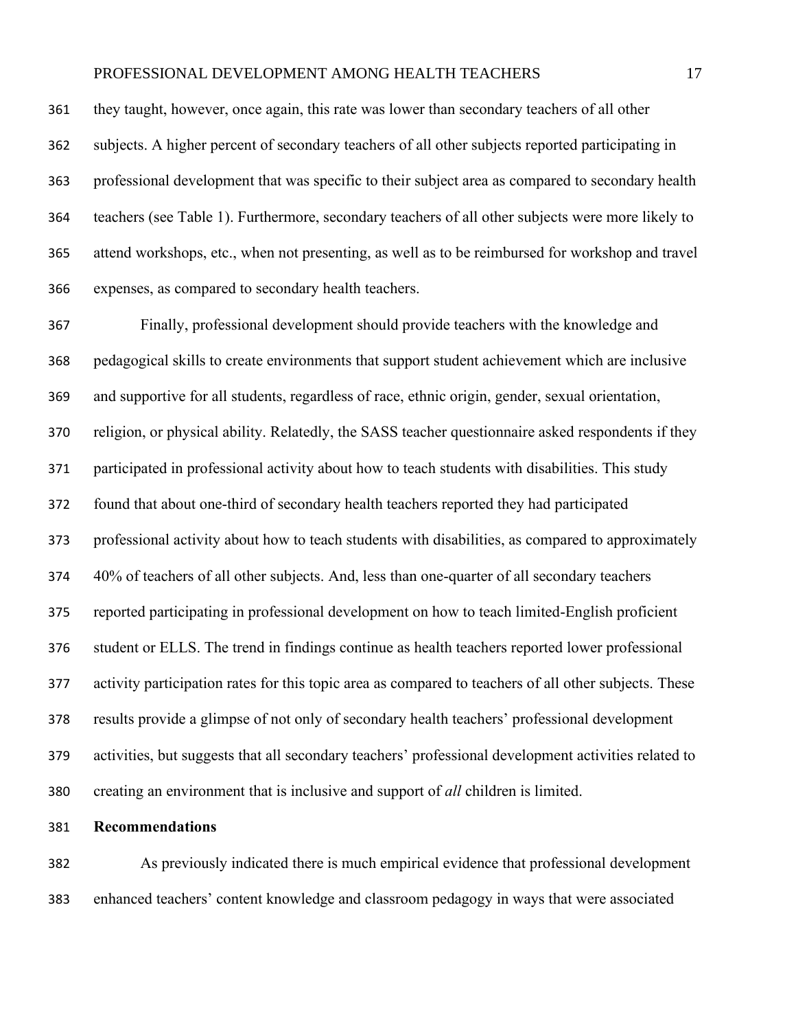they taught, however, once again, this rate was lower than secondary teachers of all other subjects. A higher percent of secondary teachers of all other subjects reported participating in professional development that was specific to their subject area as compared to secondary health teachers (see Table 1). Furthermore, secondary teachers of all other subjects were more likely to attend workshops, etc., when not presenting, as well as to be reimbursed for workshop and travel expenses, as compared to secondary health teachers.

 Finally, professional development should provide teachers with the knowledge and pedagogical skills to create environments that support student achievement which are inclusive and supportive for all students, regardless of race, ethnic origin, gender, sexual orientation, religion, or physical ability. Relatedly, the SASS teacher questionnaire asked respondents if they participated in professional activity about how to teach students with disabilities. This study found that about one-third of secondary health teachers reported they had participated professional activity about how to teach students with disabilities, as compared to approximately 40% of teachers of all other subjects. And, less than one-quarter of all secondary teachers reported participating in professional development on how to teach limited-English proficient student or ELLS. The trend in findings continue as health teachers reported lower professional activity participation rates for this topic area as compared to teachers of all other subjects. These results provide a glimpse of not only of secondary health teachers' professional development activities, but suggests that all secondary teachers' professional development activities related to creating an environment that is inclusive and support of *all* children is limited.

#### **Recommendations**

 As previously indicated there is much empirical evidence that professional development enhanced teachers' content knowledge and classroom pedagogy in ways that were associated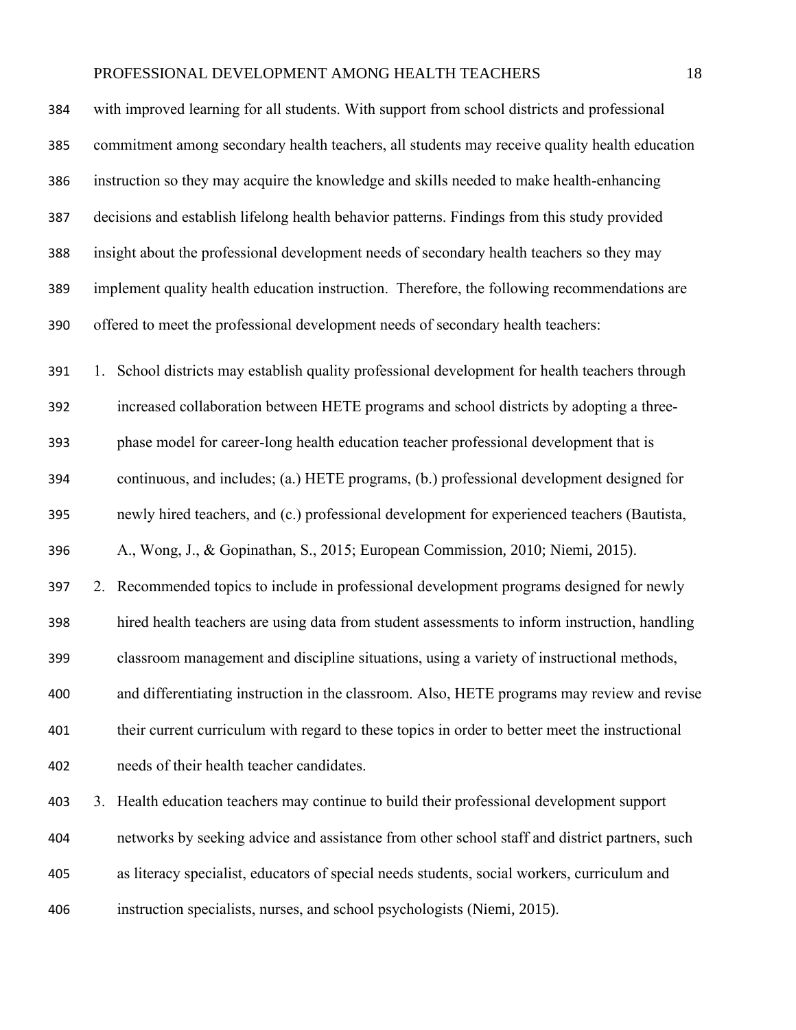| 384 |    | with improved learning for all students. With support from school districts and professional   |
|-----|----|------------------------------------------------------------------------------------------------|
| 385 |    | commitment among secondary health teachers, all students may receive quality health education  |
| 386 |    | instruction so they may acquire the knowledge and skills needed to make health-enhancing       |
| 387 |    | decisions and establish lifelong health behavior patterns. Findings from this study provided   |
| 388 |    | insight about the professional development needs of secondary health teachers so they may      |
| 389 |    | implement quality health education instruction. Therefore, the following recommendations are   |
| 390 |    | offered to meet the professional development needs of secondary health teachers:               |
| 391 |    | 1. School districts may establish quality professional development for health teachers through |
| 392 |    | increased collaboration between HETE programs and school districts by adopting a three-        |
| 393 |    | phase model for career-long health education teacher professional development that is          |
| 394 |    | continuous, and includes; (a.) HETE programs, (b.) professional development designed for       |
| 395 |    | newly hired teachers, and (c.) professional development for experienced teachers (Bautista,    |
| 396 |    | A., Wong, J., & Gopinathan, S., 2015; European Commission, 2010; Niemi, 2015).                 |
| 397 |    | 2. Recommended topics to include in professional development programs designed for newly       |
| 398 |    | hired health teachers are using data from student assessments to inform instruction, handling  |
| 399 |    | classroom management and discipline situations, using a variety of instructional methods,      |
| 400 |    | and differentiating instruction in the classroom. Also, HETE programs may review and revise    |
| 401 |    | their current curriculum with regard to these topics in order to better meet the instructional |
| 402 |    | needs of their health teacher candidates.                                                      |
| 403 | 3. | Health education teachers may continue to build their professional development support         |
| 404 |    | networks by seeking advice and assistance from other school staff and district partners, such  |
| 405 |    | as literacy specialist, educators of special needs students, social workers, curriculum and    |
| 406 |    | instruction specialists, nurses, and school psychologists (Niemi, 2015).                       |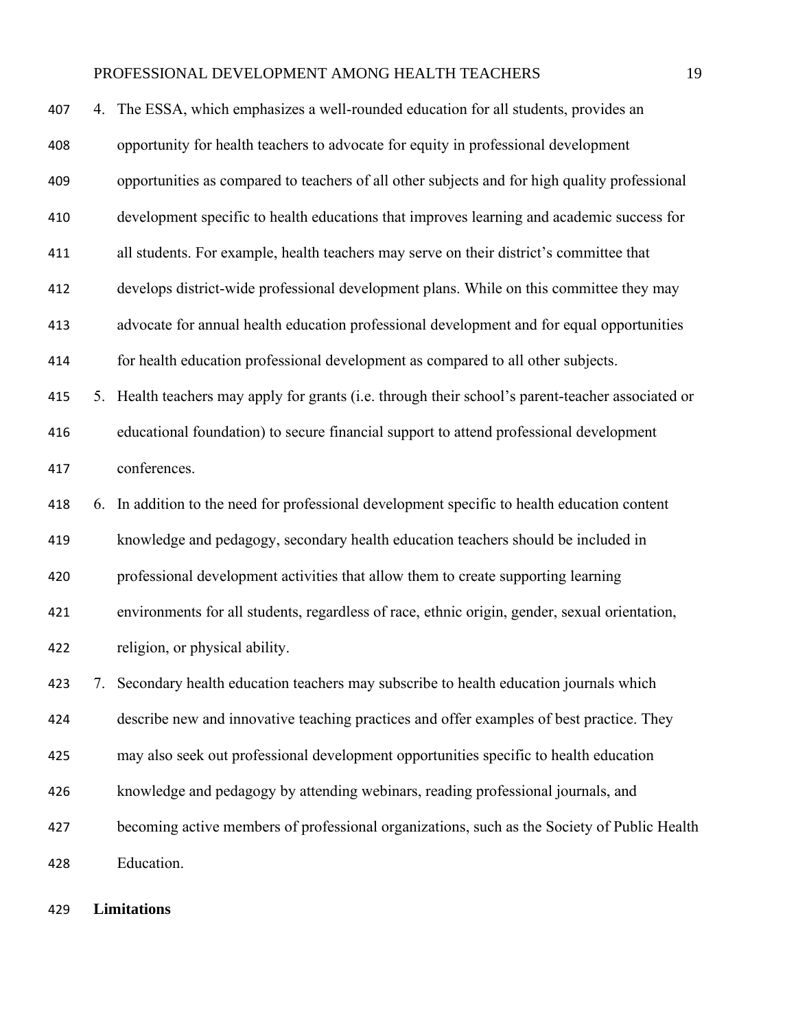| 407 | 4. The ESSA, which emphasizes a well-rounded education for all students, provides an              |
|-----|---------------------------------------------------------------------------------------------------|
| 408 | opportunity for health teachers to advocate for equity in professional development                |
| 409 | opportunities as compared to teachers of all other subjects and for high quality professional     |
| 410 | development specific to health educations that improves learning and academic success for         |
| 411 | all students. For example, health teachers may serve on their district's committee that           |
| 412 | develops district-wide professional development plans. While on this committee they may           |
| 413 | advocate for annual health education professional development and for equal opportunities         |
| 414 | for health education professional development as compared to all other subjects.                  |
| 415 | 5. Health teachers may apply for grants (i.e. through their school's parent-teacher associated or |
| 416 | educational foundation) to secure financial support to attend professional development            |
| 417 | conferences.                                                                                      |
| 418 | 6. In addition to the need for professional development specific to health education content      |
| 419 | knowledge and pedagogy, secondary health education teachers should be included in                 |
| 420 | professional development activities that allow them to create supporting learning                 |
| 421 | environments for all students, regardless of race, ethnic origin, gender, sexual orientation,     |
| 422 | religion, or physical ability.                                                                    |
| 423 | 7. Secondary health education teachers may subscribe to health education journals which           |
| 424 | describe new and innovative teaching practices and offer examples of best practice. They          |
| 425 | may also seek out professional development opportunities specific to health education             |
| 426 | knowledge and pedagogy by attending webinars, reading professional journals, and                  |
| 427 | becoming active members of professional organizations, such as the Society of Public Health       |
| 428 | Education.                                                                                        |

### **Limitations**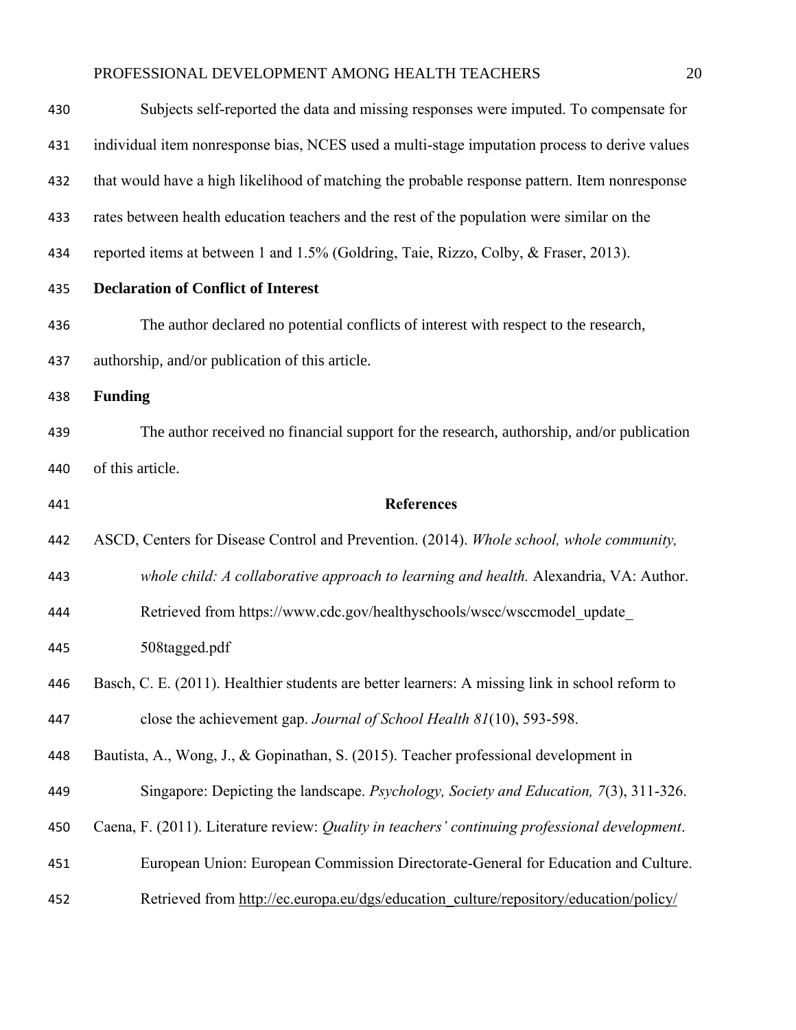| 430 | Subjects self-reported the data and missing responses were imputed. To compensate for           |
|-----|-------------------------------------------------------------------------------------------------|
| 431 | individual item nonresponse bias, NCES used a multi-stage imputation process to derive values   |
| 432 | that would have a high likelihood of matching the probable response pattern. Item nonresponse   |
| 433 | rates between health education teachers and the rest of the population were similar on the      |
| 434 | reported items at between 1 and 1.5% (Goldring, Taie, Rizzo, Colby, & Fraser, 2013).            |
| 435 | <b>Declaration of Conflict of Interest</b>                                                      |
| 436 | The author declared no potential conflicts of interest with respect to the research,            |
| 437 | authorship, and/or publication of this article.                                                 |
| 438 | <b>Funding</b>                                                                                  |
| 439 | The author received no financial support for the research, authorship, and/or publication       |
| 440 | of this article.                                                                                |
| 441 | <b>References</b>                                                                               |
| 442 | ASCD, Centers for Disease Control and Prevention. (2014). Whole school, whole community,        |
| 443 | whole child: A collaborative approach to learning and health. Alexandria, VA: Author.           |
| 444 | Retrieved from https://www.cdc.gov/healthyschools/wscc/wsccmodel_update_                        |
| 445 | 508tagged.pdf                                                                                   |
| 446 | Basch, C. E. (2011). Healthier students are better learners: A missing link in school reform to |
| 447 | close the achievement gap. Journal of School Health 81(10), 593-598.                            |
| 448 | Bautista, A., Wong, J., & Gopinathan, S. (2015). Teacher professional development in            |
| 449 | Singapore: Depicting the landscape. Psychology, Society and Education, 7(3), 311-326.           |
| 450 | Caena, F. (2011). Literature review: Quality in teachers' continuing professional development.  |
| 451 | European Union: European Commission Directorate-General for Education and Culture.              |
| 452 | Retrieved from http://ec.europa.eu/dgs/education culture/repository/education/policy/           |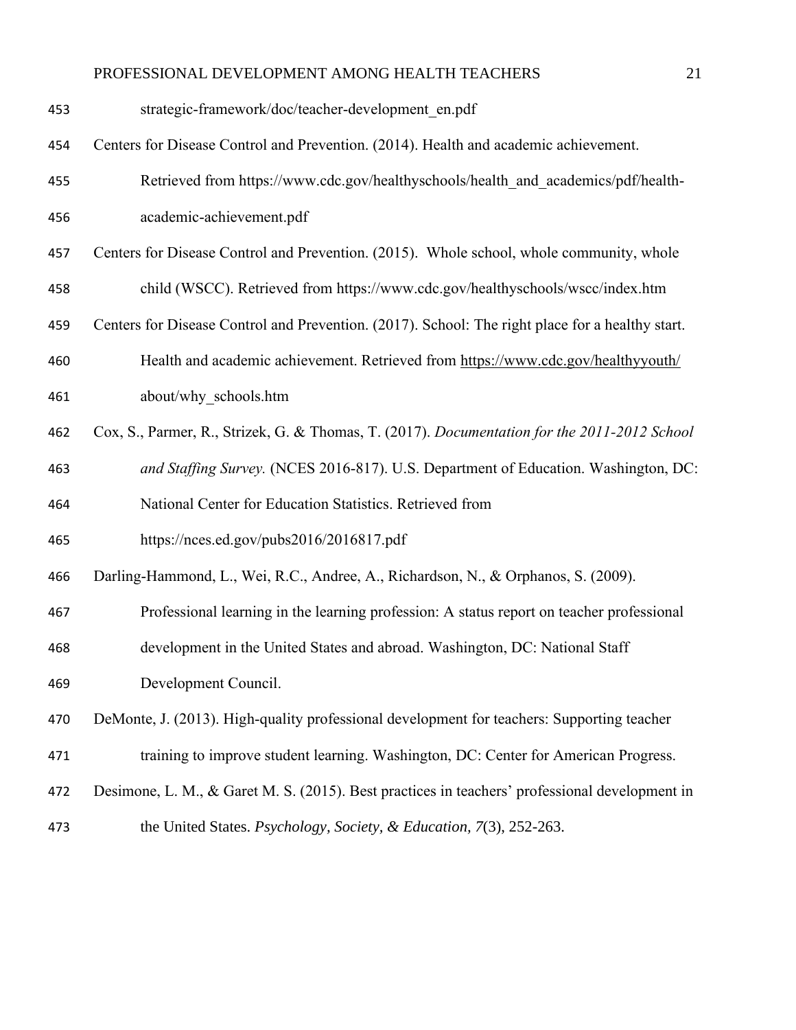| 453 | strategic-framework/doc/teacher-development en.pdf                                               |
|-----|--------------------------------------------------------------------------------------------------|
| 454 | Centers for Disease Control and Prevention. (2014). Health and academic achievement.             |
| 455 | Retrieved from https://www.cdc.gov/healthyschools/health_and_academics/pdf/health-               |
| 456 | academic-achievement.pdf                                                                         |
| 457 | Centers for Disease Control and Prevention. (2015). Whole school, whole community, whole         |
| 458 | child (WSCC). Retrieved from https://www.cdc.gov/healthyschools/wscc/index.htm                   |
| 459 | Centers for Disease Control and Prevention. (2017). School: The right place for a healthy start. |
| 460 | Health and academic achievement. Retrieved from https://www.cdc.gov/healthyyouth/                |
| 461 | about/why schools.htm                                                                            |
| 462 | Cox, S., Parmer, R., Strizek, G. & Thomas, T. (2017). Documentation for the 2011-2012 School     |
| 463 | and Staffing Survey. (NCES 2016-817). U.S. Department of Education. Washington, DC:              |
| 464 | National Center for Education Statistics. Retrieved from                                         |
| 465 | https://nces.ed.gov/pubs2016/2016817.pdf                                                         |
| 466 | Darling-Hammond, L., Wei, R.C., Andree, A., Richardson, N., & Orphanos, S. (2009).               |
| 467 | Professional learning in the learning profession: A status report on teacher professional        |
| 468 | development in the United States and abroad. Washington, DC: National Staff                      |
| 469 | Development Council.                                                                             |
| 470 | DeMonte, J. (2013). High-quality professional development for teachers: Supporting teacher       |
| 471 | training to improve student learning. Washington, DC: Center for American Progress.              |
| 472 | Desimone, L. M., & Garet M. S. (2015). Best practices in teachers' professional development in   |
| 473 | the United States. Psychology, Society, & Education, 7(3), 252-263.                              |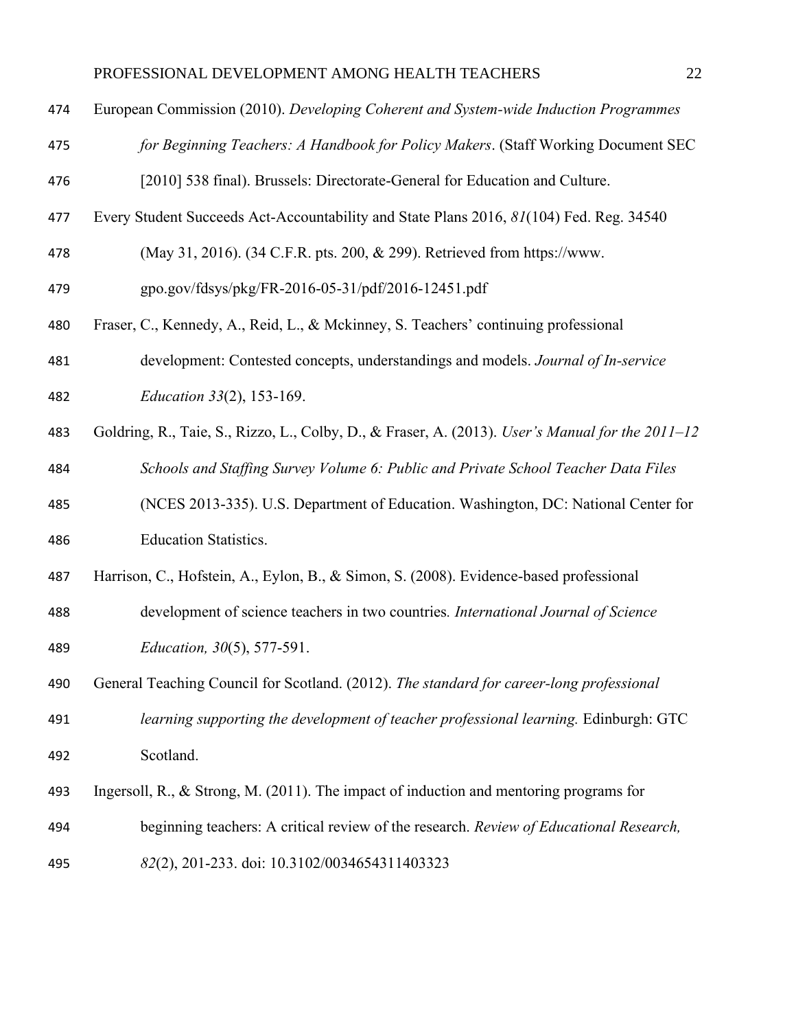- European Commission (2010). *Developing Coherent and System-wide Induction Programmes for Beginning Teachers: A Handbook for Policy Makers*. (Staff Working Document SEC
- [2010] 538 final). Brussels: Directorate-General for Education and Culture.
- Every Student Succeeds Act-Accountability and State Plans 2016, *81*(104) Fed. Reg. 34540
- (May 31, 2016). (34 C.F.R. pts. 200, & 299). Retrieved from https://www.
- gpo.gov/fdsys/pkg/FR-2016-05-31/pdf/2016-12451.pdf
- Fraser, C., Kennedy, A., Reid, L., & Mckinney, S. Teachers' continuing professional
- development: Contested concepts, understandings and models. *Journal of In-service Education 33*(2), 153-169.
- Goldring, R., Taie, S., Rizzo, L., Colby, D., & Fraser, A. (2013). *User's Manual for the 2011–12 Schools and Staffing Survey Volume 6: Public and Private School Teacher Data Files*
- 
- (NCES 2013-335). U.S. Department of Education. Washington, DC: National Center for Education Statistics.
- Harrison, C., Hofstein, A., Eylon, B., & Simon, S. (2008). Evidence-based professional
- development of science teachers in two countries*. International Journal of Science Education, 30*(5), 577-591.
- General Teaching Council for Scotland. (2012). *The standard for career-long professional learning supporting the development of teacher professional learning.* Edinburgh: GTC Scotland.
- Ingersoll, R., & Strong, M. (2011). The impact of induction and mentoring programs for
- beginning teachers: A critical review of the research. *Review of Educational Research,*
- *82*(2), 201-233. doi: 10.3102/0034654311403323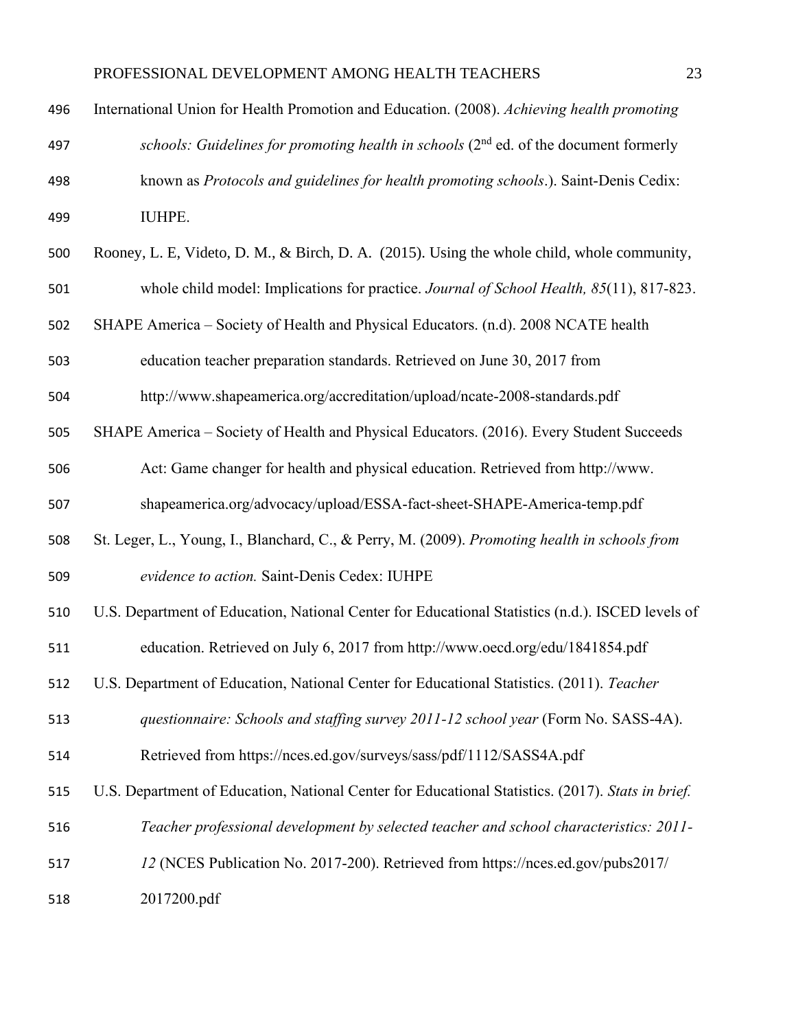| 496 | International Union for Health Promotion and Education. (2008). Achieving health promoting        |
|-----|---------------------------------------------------------------------------------------------------|
| 497 | schools: Guidelines for promoting health in schools $(2nd$ ed. of the document formerly           |
| 498 | known as Protocols and guidelines for health promoting schools.). Saint-Denis Cedix:              |
| 499 | IUHPE.                                                                                            |
| 500 | Rooney, L. E, Videto, D. M., & Birch, D. A. (2015). Using the whole child, whole community,       |
| 501 | whole child model: Implications for practice. Journal of School Health, 85(11), 817-823.          |
| 502 | SHAPE America – Society of Health and Physical Educators. (n.d). 2008 NCATE health                |
| 503 | education teacher preparation standards. Retrieved on June 30, 2017 from                          |
| 504 | http://www.shapeamerica.org/accreditation/upload/ncate-2008-standards.pdf                         |
| 505 | SHAPE America - Society of Health and Physical Educators. (2016). Every Student Succeeds          |
| 506 | Act: Game changer for health and physical education. Retrieved from http://www.                   |
| 507 | shapeamerica.org/advocacy/upload/ESSA-fact-sheet-SHAPE-America-temp.pdf                           |
| 508 | St. Leger, L., Young, I., Blanchard, C., & Perry, M. (2009). Promoting health in schools from     |
| 509 | evidence to action. Saint-Denis Cedex: IUHPE                                                      |
| 510 | U.S. Department of Education, National Center for Educational Statistics (n.d.). ISCED levels of  |
| 511 | education. Retrieved on July 6, 2017 from http://www.oecd.org/edu/1841854.pdf                     |
| 512 | U.S. Department of Education, National Center for Educational Statistics. (2011). Teacher         |
| 513 | questionnaire: Schools and staffing survey 2011-12 school year (Form No. SASS-4A).                |
| 514 | Retrieved from https://nces.ed.gov/surveys/sass/pdf/1112/SASS4A.pdf                               |
| 515 | U.S. Department of Education, National Center for Educational Statistics. (2017). Stats in brief. |
| 516 | Teacher professional development by selected teacher and school characteristics: 2011-            |
| 517 | 12 (NCES Publication No. 2017-200). Retrieved from https://nces.ed.gov/pubs2017/                  |
| 518 | 2017200.pdf                                                                                       |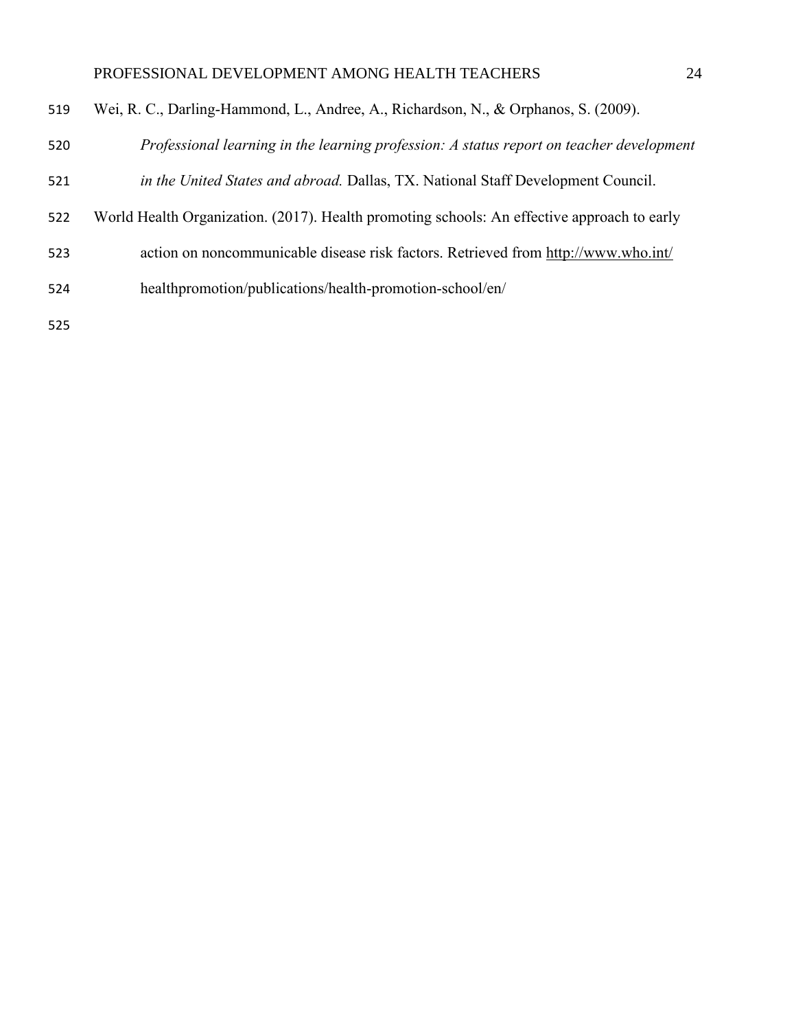- Wei, R. C., Darling-Hammond, L., Andree, A., Richardson, N., & Orphanos, S. (2009).
- *Professional learning in the learning profession: A status report on teacher development*
- *in the United States and abroad.* Dallas, TX. National Staff Development Council.
- World Health Organization. (2017). Health promoting schools: An effective approach to early
- action on noncommunicable disease risk factors. Retrieved from<http://www.who.int/>
- healthpromotion/publications/health-promotion-school/en/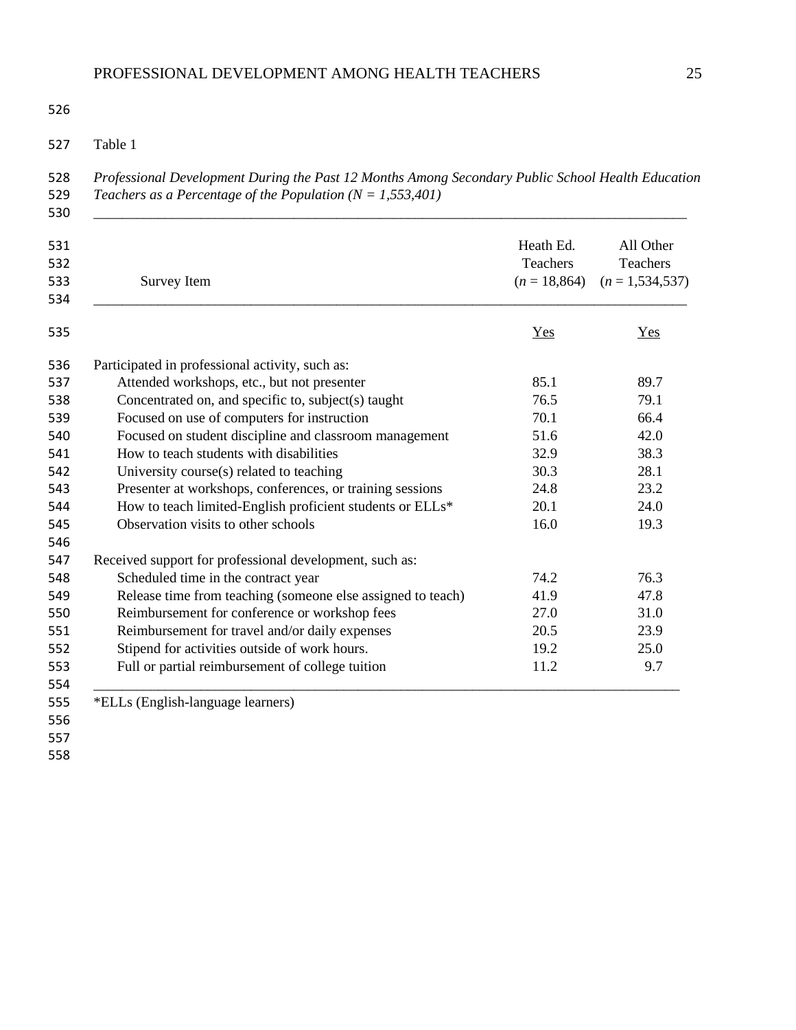Table 1

 *Professional Development During the Past 12 Months Among Secondary Public School Health Education Teachers as a Percentage of the Population (N = 1,553,401)*

\_\_\_\_\_\_\_\_\_\_\_\_\_\_\_\_\_\_\_\_\_\_\_\_\_\_\_\_\_\_\_\_\_\_\_\_\_\_\_\_\_\_\_\_\_\_\_\_\_\_\_\_\_\_\_\_\_\_\_\_\_\_\_\_\_\_\_\_\_\_\_\_\_\_\_\_\_\_\_\_\_\_\_

\_\_\_\_\_\_\_\_\_\_\_\_\_\_\_\_\_\_\_\_\_\_\_\_\_\_\_\_\_\_\_\_\_\_\_\_\_\_\_\_\_\_\_\_\_\_\_\_\_\_\_\_\_\_\_\_\_\_\_\_\_\_\_\_\_\_\_\_\_\_\_\_\_\_\_\_\_\_\_\_\_\_\_

- 531 Heath Ed. All Other
- Teachers Teachers
- Survey Item (*n* = 18,864) (*n* = 1,534,537)
- 

| 535 |                                                             | <b>Yes</b> | Yes  |
|-----|-------------------------------------------------------------|------------|------|
| 536 | Participated in professional activity, such as:             |            |      |
| 537 | Attended workshops, etc., but not presenter                 | 85.1       | 89.7 |
| 538 | Concentrated on, and specific to, subject(s) taught         | 76.5       | 79.1 |
| 539 | Focused on use of computers for instruction                 | 70.1       | 66.4 |
| 540 | Focused on student discipline and classroom management      | 51.6       | 42.0 |
| 541 | How to teach students with disabilities                     | 32.9       | 38.3 |
| 542 | University course(s) related to teaching                    | 30.3       | 28.1 |
| 543 | Presenter at workshops, conferences, or training sessions   | 24.8       | 23.2 |
| 544 | How to teach limited-English proficient students or ELLs*   | 20.1       | 24.0 |
| 545 | Observation visits to other schools                         | 16.0       | 19.3 |
| 546 |                                                             |            |      |
| 547 | Received support for professional development, such as:     |            |      |
| 548 | Scheduled time in the contract year                         | 74.2       | 76.3 |
| 549 | Release time from teaching (someone else assigned to teach) | 41.9       | 47.8 |
| 550 | Reimbursement for conference or workshop fees               | 27.0       | 31.0 |
| 551 | Reimbursement for travel and/or daily expenses              | 20.5       | 23.9 |
| 552 | Stipend for activities outside of work hours.               | 19.2       | 25.0 |
| 553 | Full or partial reimbursement of college tuition            | 11.2       | 9.7  |
| 554 |                                                             |            |      |

 \*ELLs (English-language learners) 

- 
-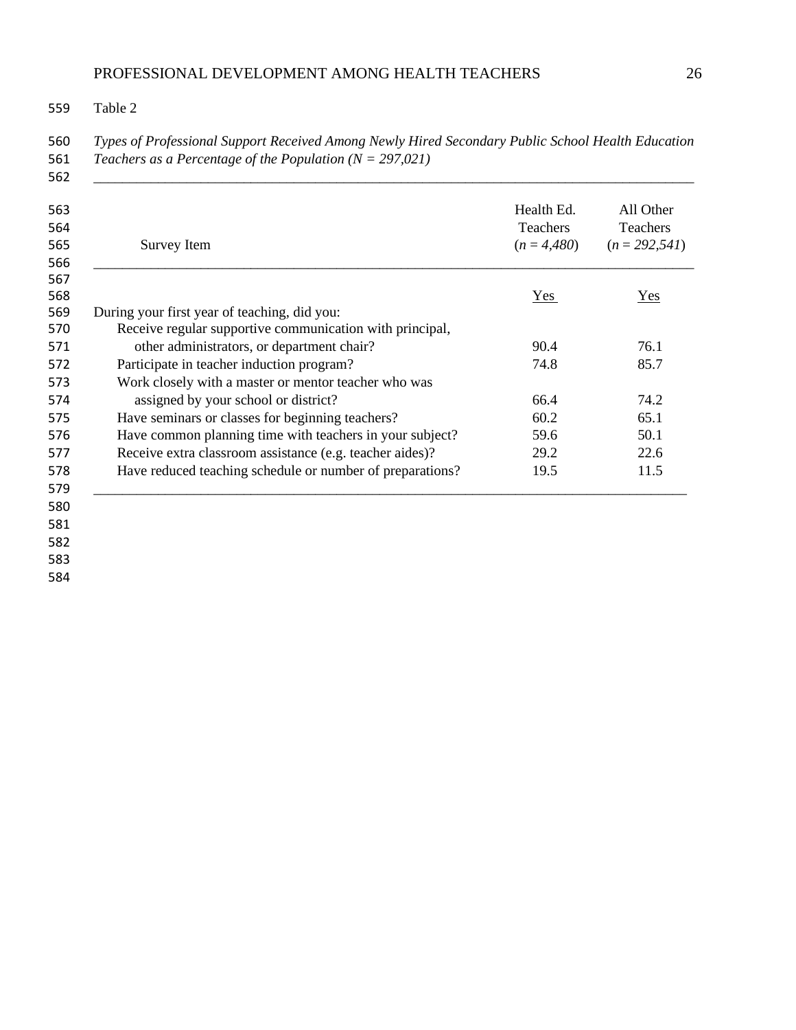Table 2

 *Types of Professional Support Received Among Newly Hired Secondary Public School Health Education Teachers as a Percentage of the Population (N = 297,021)* \_\_\_\_\_\_\_\_\_\_\_\_\_\_\_\_\_\_\_\_\_\_\_\_\_\_\_\_\_\_\_\_\_\_\_\_\_\_\_\_\_\_\_\_\_\_\_\_\_\_\_\_\_\_\_\_\_\_\_\_\_\_\_\_\_\_\_\_\_\_\_\_\_\_\_\_\_\_\_\_\_\_\_\_

| 566                                                                      |      |
|--------------------------------------------------------------------------|------|
| 567                                                                      |      |
| 568<br>Yes                                                               | Yes  |
| 569<br>During your first year of teaching, did you:                      |      |
| Receive regular supportive communication with principal,<br>570          |      |
| other administrators, or department chair?<br>90.4<br>571                | 76.1 |
| Participate in teacher induction program?<br>74.8<br>572                 | 85.7 |
| Work closely with a master or mentor teacher who was<br>573              |      |
| assigned by your school or district?<br>574<br>66.4                      | 74.2 |
| Have seminars or classes for beginning teachers?<br>60.2<br>575          | 65.1 |
| Have common planning time with teachers in your subject?<br>59.6<br>576  | 50.1 |
| Receive extra classroom assistance (e.g. teacher aides)?<br>29.2<br>577  | 22.6 |
| Have reduced teaching schedule or number of preparations?<br>19.5<br>578 | 11.5 |
| 579                                                                      |      |
| 580                                                                      |      |
| 581                                                                      |      |